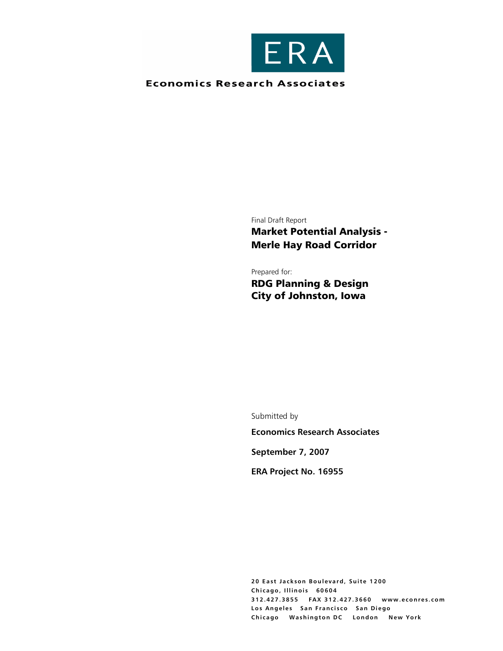

### **Economics Research Associates**

Final Draft Report

Market Potential Analysis - Merle Hay Road Corridor

Prepared for: RDG Planning & Design City of Johnston, Iowa

Submitted by

**Economics Research Associates** 

**September 7, 2007** 

**ERA Project No. 16955** 

**20 East Jackson Boulevard, Suite 1200 Chicago, Illinois 60604 312.427.3855 FAX 312.427.3660 www.econres.com Los Angeles San Francisco San Diego Chicago Washington DC London New York**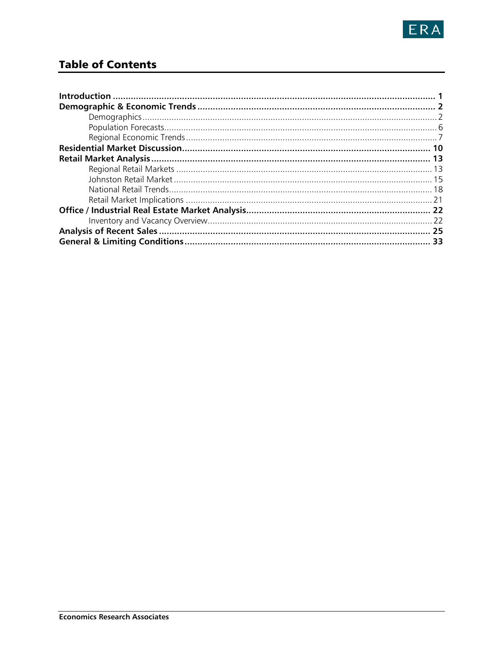

# **Table of Contents**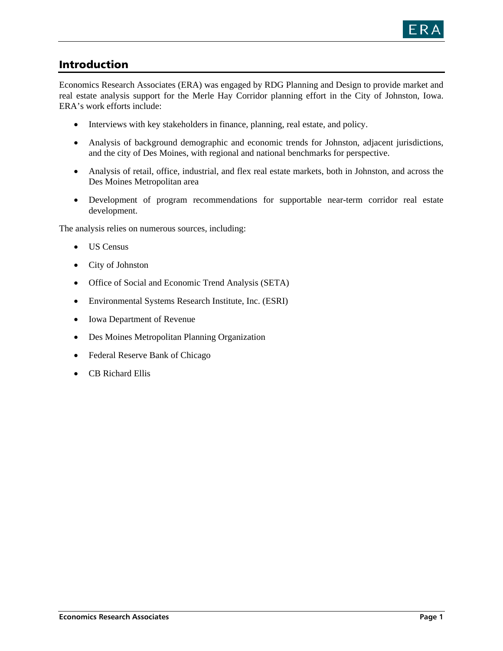

## Introduction

Economics Research Associates (ERA) was engaged by RDG Planning and Design to provide market and real estate analysis support for the Merle Hay Corridor planning effort in the City of Johnston, Iowa. ERA's work efforts include:

- Interviews with key stakeholders in finance, planning, real estate, and policy.
- Analysis of background demographic and economic trends for Johnston, adjacent jurisdictions, and the city of Des Moines, with regional and national benchmarks for perspective.
- Analysis of retail, office, industrial, and flex real estate markets, both in Johnston, and across the Des Moines Metropolitan area
- Development of program recommendations for supportable near-term corridor real estate development.

The analysis relies on numerous sources, including:

- US Census
- City of Johnston
- Office of Social and Economic Trend Analysis (SETA)
- Environmental Systems Research Institute, Inc. (ESRI)
- Iowa Department of Revenue
- Des Moines Metropolitan Planning Organization
- Federal Reserve Bank of Chicago
- CB Richard Ellis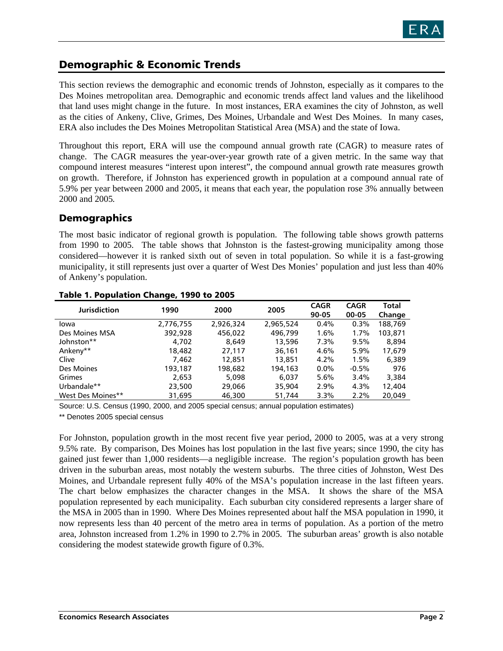## Demographic & Economic Trends

This section reviews the demographic and economic trends of Johnston, especially as it compares to the Des Moines metropolitan area. Demographic and economic trends affect land values and the likelihood that land uses might change in the future. In most instances, ERA examines the city of Johnston, as well as the cities of Ankeny, Clive, Grimes, Des Moines, Urbandale and West Des Moines. In many cases, ERA also includes the Des Moines Metropolitan Statistical Area (MSA) and the state of Iowa.

Throughout this report, ERA will use the compound annual growth rate (CAGR) to measure rates of change. The CAGR measures the year-over-year growth rate of a given metric. In the same way that compound interest measures "interest upon interest", the compound annual growth rate measures growth on growth. Therefore, if Johnston has experienced growth in population at a compound annual rate of 5.9% per year between 2000 and 2005, it means that each year, the population rose 3% annually between 2000 and 2005*.*

### Demographics

The most basic indicator of regional growth is population. The following table shows growth patterns from 1990 to 2005. The table shows that Johnston is the fastest-growing municipality among those considered—however it is ranked sixth out of seven in total population. So while it is a fast-growing municipality, it still represents just over a quarter of West Des Monies' population and just less than 40% of Ankeny's population.

|                     | - - - - - |           |           |                      |                      |                 |  |  |  |
|---------------------|-----------|-----------|-----------|----------------------|----------------------|-----------------|--|--|--|
| <b>Jurisdiction</b> | 1990      | 2000      | 2005      | <b>CAGR</b><br>90-05 | <b>CAGR</b><br>00-05 | Total<br>Change |  |  |  |
| lowa                | 2,776,755 | 2,926,324 | 2,965,524 | 0.4%                 | 0.3%                 | 188,769         |  |  |  |
| Des Moines MSA      | 392,928   | 456.022   | 496,799   | 1.6%                 | 1.7%                 | 103,871         |  |  |  |
| Johnston**          | 4,702     | 8.649     | 13,596    | 7.3%                 | 9.5%                 | 8.894           |  |  |  |
| Ankeny**            | 18,482    | 27,117    | 36,161    | 4.6%                 | 5.9%                 | 17.679          |  |  |  |
| Clive               | 7.462     | 12,851    | 13,851    | 4.2%                 | 1.5%                 | 6,389           |  |  |  |
| Des Moines          | 193,187   | 198,682   | 194,163   | $0.0\%$              | $-0.5%$              | 976             |  |  |  |
| Grimes              | 2,653     | 5,098     | 6.037     | 5.6%                 | 3.4%                 | 3,384           |  |  |  |
| Urbandale**         | 23,500    | 29,066    | 35,904    | 2.9%                 | 4.3%                 | 12,404          |  |  |  |
| West Des Moines**   | 31.695    | 46,300    | 51,744    | 3.3%                 | 2.2%                 | 20.049          |  |  |  |

#### Table 1. Population Change, 1990 to 2005

Source: U.S. Census (1990, 2000, and 2005 special census; annual population estimates)

\*\* Denotes 2005 special census

For Johnston, population growth in the most recent five year period, 2000 to 2005, was at a very strong 9.5% rate. By comparison, Des Moines has lost population in the last five years; since 1990, the city has gained just fewer than 1,000 residents—a negligible increase. The region's population growth has been driven in the suburban areas, most notably the western suburbs. The three cities of Johnston, West Des Moines, and Urbandale represent fully 40% of the MSA's population increase in the last fifteen years. The chart below emphasizes the character changes in the MSA. It shows the share of the MSA population represented by each municipality. Each suburban city considered represents a larger share of the MSA in 2005 than in 1990. Where Des Moines represented about half the MSA population in 1990, it now represents less than 40 percent of the metro area in terms of population. As a portion of the metro area, Johnston increased from 1.2% in 1990 to 2.7% in 2005. The suburban areas' growth is also notable considering the modest statewide growth figure of 0.3%.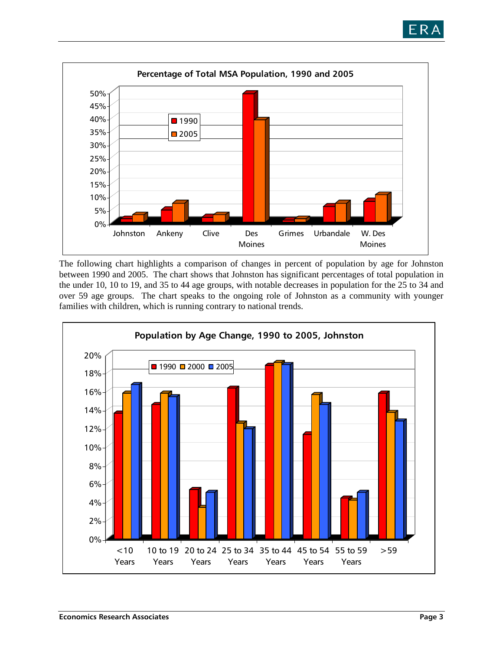



The following chart highlights a comparison of changes in percent of population by age for Johnston between 1990 and 2005. The chart shows that Johnston has significant percentages of total population in the under 10, 10 to 19, and 35 to 44 age groups, with notable decreases in population for the 25 to 34 and over 59 age groups. The chart speaks to the ongoing role of Johnston as a community with younger families with children, which is running contrary to national trends.

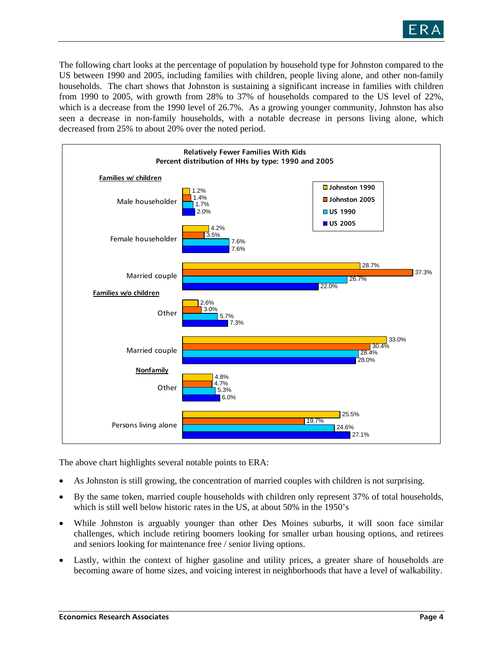

The following chart looks at the percentage of population by household type for Johnston compared to the US between 1990 and 2005, including families with children, people living alone, and other non-family households. The chart shows that Johnston is sustaining a significant increase in families with children from 1990 to 2005, with growth from 28% to 37% of households compared to the US level of 22%, which is a decrease from the 1990 level of 26.7%. As a growing younger community, Johnston has also seen a decrease in non-family households, with a notable decrease in persons living alone, which decreased from 25% to about 20% over the noted period.



The above chart highlights several notable points to ERA:

- As Johnston is still growing, the concentration of married couples with children is not surprising.
- By the same token, married couple households with children only represent 37% of total households, which is still well below historic rates in the US, at about 50% in the 1950's
- While Johnston is arguably younger than other Des Moines suburbs, it will soon face similar challenges, which include retiring boomers looking for smaller urban housing options, and retirees and seniors looking for maintenance free / senior living options.
- Lastly, within the context of higher gasoline and utility prices, a greater share of households are becoming aware of home sizes, and voicing interest in neighborhoods that have a level of walkability.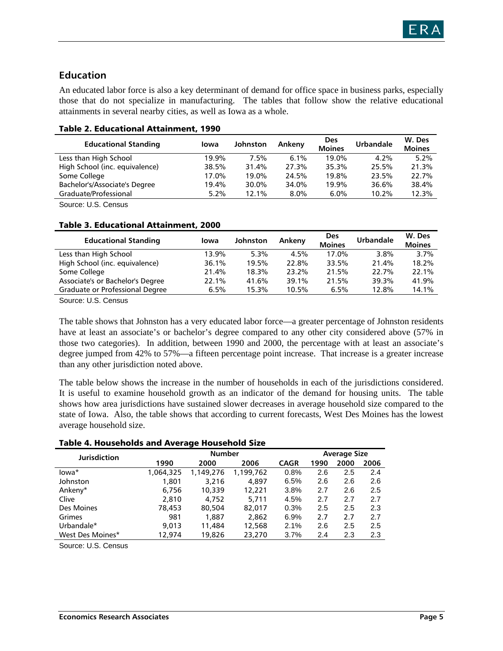### **Education**

An educated labor force is also a key determinant of demand for office space in business parks, especially those that do not specialize in manufacturing. The tables that follow show the relative educational attainments in several nearby cities, as well as Iowa as a whole.

| <b>Educational Standing</b>    | lowa  | Johnston | Ankeny  | <b>Des</b><br><b>Moines</b> | <b>Urbandale</b> | W. Des<br><b>Moines</b> |
|--------------------------------|-------|----------|---------|-----------------------------|------------------|-------------------------|
| Less than High School          | 19.9% | 7.5%     | 6.1%    | 19.0%                       | 4.2%             | 5.2%                    |
| High School (inc. equivalence) | 38.5% | 31.4%    | 27.3%   | 35.3%                       | 25.5%            | 21.3%                   |
| Some College                   | 17.0% | 19.0%    | 24.5%   | 19.8%                       | 23.5%            | 22.7%                   |
| Bachelor's/Associate's Degree  | 19.4% | 30.0%    | 34.0%   | 19.9%                       | 36.6%            | 38.4%                   |
| Graduate/Professional          | 5.2%  | 12.1%    | $8.0\%$ | $6.0\%$                     | 10.2%            | 12.3%                   |

#### Table 2. Educational Attainment, 1990

Source: U.S. Census

#### Table 3. Educational Attainment, 2000

| <b>Educational Standing</b>      | lowa  | <b>Johnston</b> | Ankeny | <b>Des</b><br><b>Moines</b> | <b>Urbandale</b> | W. Des<br><b>Moines</b> |
|----------------------------------|-------|-----------------|--------|-----------------------------|------------------|-------------------------|
| Less than High School            | 13.9% | 5.3%            | 4.5%   | 17.0%                       | $3.8\%$          | 3.7%                    |
| High School (inc. equivalence)   | 36.1% | 19.5%           | 22.8%  | 33.5%                       | 21.4%            | 18.2%                   |
| Some College                     | 21.4% | 18.3%           | 23.2%  | 21.5%                       | 22.7%            | 22.1%                   |
| Associate's or Bachelor's Degree | 22.1% | 41.6%           | 39.1%  | 21.5%                       | 39.3%            | 41.9%                   |
| Graduate or Professional Degree  | 6.5%  | 15.3%           | 10.5%  | 6.5%                        | 12.8%            | 14.1%                   |

Source: U.S. Census

The table shows that Johnston has a very educated labor force—a greater percentage of Johnston residents have at least an associate's or bachelor's degree compared to any other city considered above (57% in those two categories). In addition, between 1990 and 2000, the percentage with at least an associate's degree jumped from 42% to 57%—a fifteen percentage point increase. That increase is a greater increase than any other jurisdiction noted above.

The table below shows the increase in the number of households in each of the jurisdictions considered. It is useful to examine household growth as an indicator of the demand for housing units. The table shows how area jurisdictions have sustained slower decreases in average household size compared to the state of Iowa. Also, the table shows that according to current forecasts, West Des Moines has the lowest average household size.

#### Table 4. Households and Average Household Size

|                     |           | -                   |           |             |      |      |      |
|---------------------|-----------|---------------------|-----------|-------------|------|------|------|
| <b>Jurisdiction</b> |           | <b>Average Size</b> |           |             |      |      |      |
|                     | 1990      | 2000                | 2006      | <b>CAGR</b> | 1990 | 2000 | 2006 |
| lowa*               | 1,064,325 | 1,149,276           | 1,199,762 | 0.8%        | 2.6  | 2.5  | 2.4  |
| Johnston            | 1.801     | 3.216               | 4.897     | 6.5%        | 2.6  | 2.6  | 2.6  |
| Ankeny*             | 6.756     | 10,339              | 12,221    | 3.8%        | 2.7  | 2.6  | 2.5  |
| Clive               | 2.810     | 4.752               | 5.711     | 4.5%        | 2.7  | 2.7  | 2.7  |
| Des Moines          | 78,453    | 80,504              | 82,017    | 0.3%        | 2.5  | 2.5  | 2.3  |
| Grimes              | 981       | 1,887               | 2,862     | 6.9%        | 2.7  | 2.7  | 2.7  |
| Urbandale*          | 9,013     | 11,484              | 12,568    | 2.1%        | 2.6  | 2.5  | 2.5  |
| West Des Moines*    | 12,974    | 19,826              | 23,270    | 3.7%        | 2.4  | 2.3  | 2.3  |
|                     |           |                     |           |             |      |      |      |

Source: U.S. Census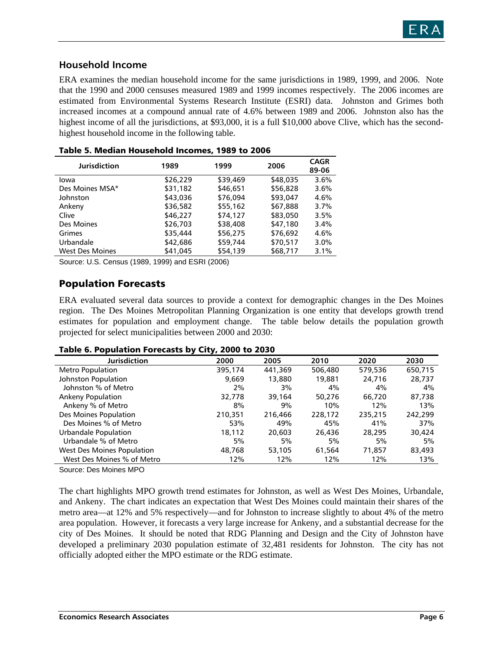

### **Household Income**

ERA examines the median household income for the same jurisdictions in 1989, 1999, and 2006. Note that the 1990 and 2000 censuses measured 1989 and 1999 incomes respectively. The 2006 incomes are estimated from Environmental Systems Research Institute (ESRI) data. Johnston and Grimes both increased incomes at a compound annual rate of 4.6% between 1989 and 2006. Johnston also has the highest income of all the jurisdictions, at \$93,000, it is a full \$10,000 above Clive, which has the secondhighest household income in the following table.

| <b>Jurisdiction</b>    | 1989     | 1999     | 2006     | <b>CAGR</b><br>89-06 |
|------------------------|----------|----------|----------|----------------------|
| lowa                   | \$26,229 | \$39,469 | \$48,035 | 3.6%                 |
| Des Moines MSA*        | \$31,182 | \$46,651 | \$56,828 | 3.6%                 |
| Johnston               | \$43,036 | \$76,094 | \$93,047 | 4.6%                 |
| Ankeny                 | \$36,582 | \$55,162 | \$67,888 | 3.7%                 |
| Clive                  | \$46,227 | \$74,127 | \$83,050 | 3.5%                 |
| Des Moines             | \$26,703 | \$38,408 | \$47,180 | 3.4%                 |
| Grimes                 | \$35,444 | \$56,275 | \$76,692 | 4.6%                 |
| Urbandale              | \$42,686 | \$59,744 | \$70,517 | 3.0%                 |
| <b>West Des Moines</b> | \$41.045 | \$54,139 | \$68,717 | 3.1%                 |

| Table 5. Median Household Incomes, 1989 to 2006 |  |  |  |  |
|-------------------------------------------------|--|--|--|--|
|-------------------------------------------------|--|--|--|--|

Source: U.S. Census (1989, 1999) and ESRI (2006)

### Population Forecasts

ERA evaluated several data sources to provide a context for demographic changes in the Des Moines region. The Des Moines Metropolitan Planning Organization is one entity that develops growth trend estimates for population and employment change. The table below details the population growth projected for select municipalities between 2000 and 2030:

#### Table 6. Population Forecasts by City, 2000 to 2030

| <b>Jurisdiction</b>        | 2000    | 2005    | 2010    | 2020    | 2030    |
|----------------------------|---------|---------|---------|---------|---------|
| <b>Metro Population</b>    | 395,174 | 441,369 | 506,480 | 579,536 | 650,715 |
| Johnston Population        | 9.669   | 13,880  | 19,881  | 24,716  | 28,737  |
| Johnston % of Metro        | 2%      | 3%      | 4%      | 4%      | 4%      |
| <b>Ankeny Population</b>   | 32,778  | 39,164  | 50,276  | 66,720  | 87,738  |
| Ankeny % of Metro          | 8%      | 9%      | 10%     | 12%     | 13%     |
| Des Moines Population      | 210,351 | 216,466 | 228,172 | 235,215 | 242,299 |
| Des Moines % of Metro      | 53%     | 49%     | 45%     | 41%     | 37%     |
| Urbandale Population       | 18,112  | 20,603  | 26.436  | 28,295  | 30,424  |
| Urbandale % of Metro       | 5%      | 5%      | 5%      | 5%      | 5%      |
| West Des Moines Population | 48,768  | 53,105  | 61.564  | 71,857  | 83,493  |
| West Des Moines % of Metro | 12%     | 12%     | 12%     | 12%     | 13%     |
|                            |         |         |         |         |         |

Source: Des Moines MPO

The chart highlights MPO growth trend estimates for Johnston, as well as West Des Moines, Urbandale, and Ankeny. The chart indicates an expectation that West Des Moines could maintain their shares of the metro area—at 12% and 5% respectively—and for Johnston to increase slightly to about 4% of the metro area population. However, it forecasts a very large increase for Ankeny, and a substantial decrease for the city of Des Moines. It should be noted that RDG Planning and Design and the City of Johnston have developed a preliminary 2030 population estimate of 32,481 residents for Johnston. The city has not officially adopted either the MPO estimate or the RDG estimate.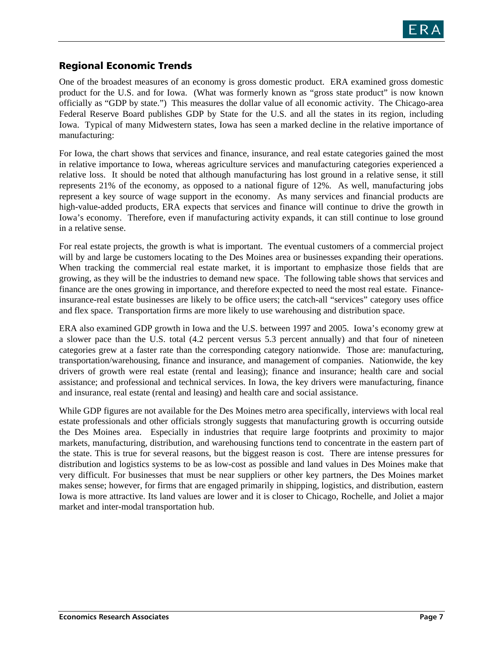

### Regional Economic Trends

One of the broadest measures of an economy is gross domestic product. ERA examined gross domestic product for the U.S. and for Iowa. (What was formerly known as "gross state product" is now known officially as "GDP by state.") This measures the dollar value of all economic activity. The Chicago-area Federal Reserve Board publishes GDP by State for the U.S. and all the states in its region, including Iowa. Typical of many Midwestern states, Iowa has seen a marked decline in the relative importance of manufacturing:

For Iowa, the chart shows that services and finance, insurance, and real estate categories gained the most in relative importance to Iowa, whereas agriculture services and manufacturing categories experienced a relative loss. It should be noted that although manufacturing has lost ground in a relative sense, it still represents 21% of the economy, as opposed to a national figure of 12%. As well, manufacturing jobs represent a key source of wage support in the economy. As many services and financial products are high-value-added products, ERA expects that services and finance will continue to drive the growth in Iowa's economy. Therefore, even if manufacturing activity expands, it can still continue to lose ground in a relative sense.

For real estate projects, the growth is what is important. The eventual customers of a commercial project will by and large be customers locating to the Des Moines area or businesses expanding their operations. When tracking the commercial real estate market, it is important to emphasize those fields that are growing, as they will be the industries to demand new space. The following table shows that services and finance are the ones growing in importance, and therefore expected to need the most real estate. Financeinsurance-real estate businesses are likely to be office users; the catch-all "services" category uses office and flex space. Transportation firms are more likely to use warehousing and distribution space.

ERA also examined GDP growth in Iowa and the U.S. between 1997 and 2005. Iowa's economy grew at a slower pace than the U.S. total (4.2 percent versus 5.3 percent annually) and that four of nineteen categories grew at a faster rate than the corresponding category nationwide. Those are: manufacturing, transportation/warehousing, finance and insurance, and management of companies. Nationwide, the key drivers of growth were real estate (rental and leasing); finance and insurance; health care and social assistance; and professional and technical services. In Iowa, the key drivers were manufacturing, finance and insurance, real estate (rental and leasing) and health care and social assistance.

While GDP figures are not available for the Des Moines metro area specifically, interviews with local real estate professionals and other officials strongly suggests that manufacturing growth is occurring outside the Des Moines area. Especially in industries that require large footprints and proximity to major markets, manufacturing, distribution, and warehousing functions tend to concentrate in the eastern part of the state. This is true for several reasons, but the biggest reason is cost. There are intense pressures for distribution and logistics systems to be as low-cost as possible and land values in Des Moines make that very difficult. For businesses that must be near suppliers or other key partners, the Des Moines market makes sense; however, for firms that are engaged primarily in shipping, logistics, and distribution, eastern Iowa is more attractive. Its land values are lower and it is closer to Chicago, Rochelle, and Joliet a major market and inter-modal transportation hub.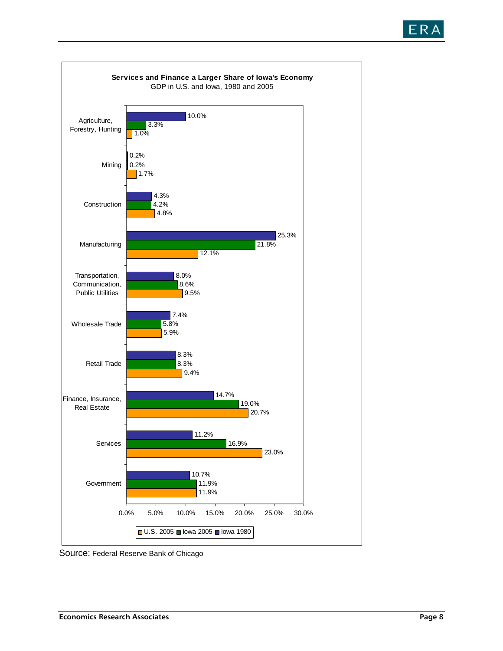



Source: Federal Reserve Bank of Chicago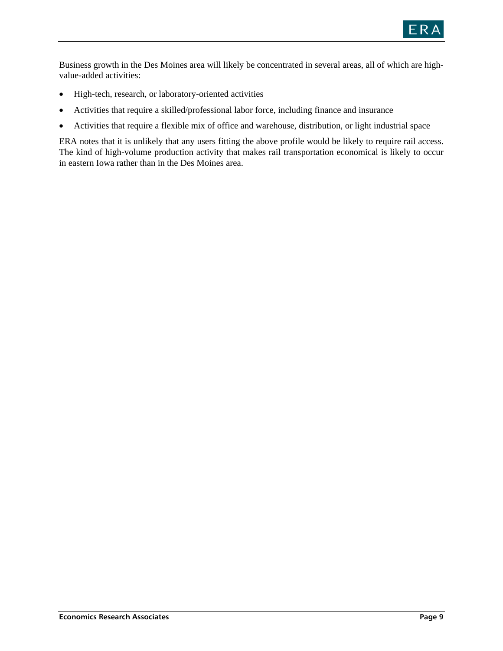

Business growth in the Des Moines area will likely be concentrated in several areas, all of which are highvalue-added activities:

- High-tech, research, or laboratory-oriented activities
- Activities that require a skilled/professional labor force, including finance and insurance
- Activities that require a flexible mix of office and warehouse, distribution, or light industrial space

ERA notes that it is unlikely that any users fitting the above profile would be likely to require rail access. The kind of high-volume production activity that makes rail transportation economical is likely to occur in eastern Iowa rather than in the Des Moines area.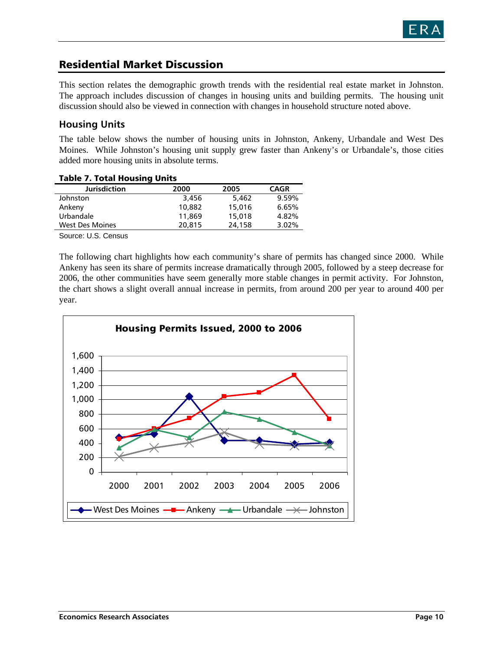

## Residential Market Discussion

This section relates the demographic growth trends with the residential real estate market in Johnston. The approach includes discussion of changes in housing units and building permits. The housing unit discussion should also be viewed in connection with changes in household structure noted above.

### **Housing Units**

The table below shows the number of housing units in Johnston, Ankeny, Urbandale and West Des Moines. While Johnston's housing unit supply grew faster than Ankeny's or Urbandale's, those cities added more housing units in absolute terms.

| <b>Table 7. Total Housing Units</b> |  |
|-------------------------------------|--|
|-------------------------------------|--|

| <b>Jurisdiction</b>    | 2000   | 2005   | <b>CAGR</b> |
|------------------------|--------|--------|-------------|
| Johnston               | 3,456  | 5.462  | 9.59%       |
| Ankeny                 | 10,882 | 15,016 | 6.65%       |
| Urbandale              | 11,869 | 15,018 | 4.82%       |
| <b>West Des Moines</b> | 20,815 | 24,158 | 3.02%       |
|                        |        |        |             |

Source: U.S. Census

The following chart highlights how each community's share of permits has changed since 2000. While Ankeny has seen its share of permits increase dramatically through 2005, followed by a steep decrease for 2006, the other communities have seem generally more stable changes in permit activity. For Johnston, the chart shows a slight overall annual increase in permits, from around 200 per year to around 400 per year.

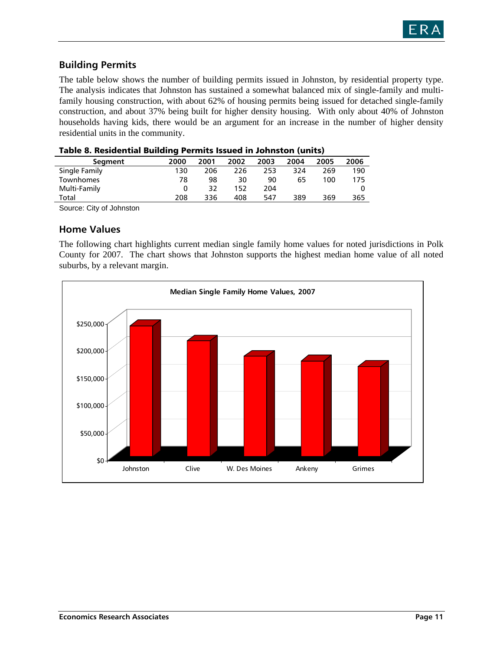

## **Building Permits**

The table below shows the number of building permits issued in Johnston, by residential property type. The analysis indicates that Johnston has sustained a somewhat balanced mix of single-family and multifamily housing construction, with about 62% of housing permits being issued for detached single-family construction, and about 37% being built for higher density housing. With only about 40% of Johnston households having kids, there would be an argument for an increase in the number of higher density residential units in the community.

| Table of Residential Building Permits issued in Johnston (units) |      |      |      |      |      |      |      |
|------------------------------------------------------------------|------|------|------|------|------|------|------|
| Segment                                                          | 2000 | 2001 | 2002 | 2003 | 2004 | 2005 | 2006 |
| Single Family                                                    | 130  | 206  | 226  | 253  | 324  | 269  | 190  |
| Townhomes                                                        | 78   | 98   | 30   | 90   | 65   | 100  | 175  |
| Multi-Family                                                     |      | 32   | 152  | 204  |      |      |      |
| Total                                                            | 208  | 336  | 408  | 547  | 389  | 369  | 365  |
|                                                                  |      |      |      |      |      |      |      |

Source: City of Johnston

### **Home Values**

The following chart highlights current median single family home values for noted jurisdictions in Polk County for 2007. The chart shows that Johnston supports the highest median home value of all noted suburbs, by a relevant margin.

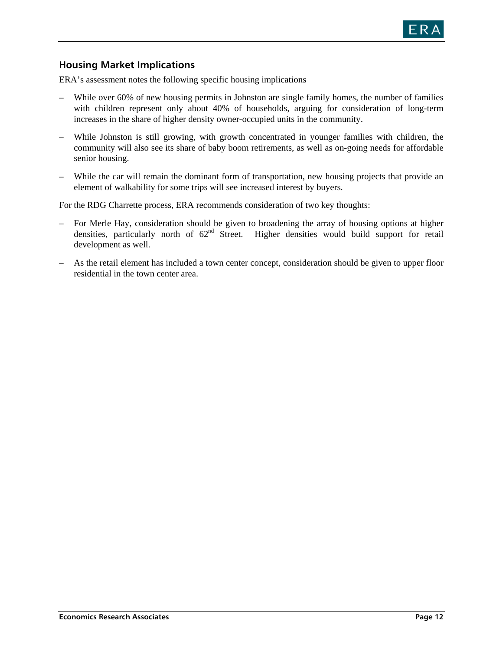

### **Housing Market Implications**

ERA's assessment notes the following specific housing implications

- While over 60% of new housing permits in Johnston are single family homes, the number of families with children represent only about 40% of households, arguing for consideration of long-term increases in the share of higher density owner-occupied units in the community.
- While Johnston is still growing, with growth concentrated in younger families with children, the community will also see its share of baby boom retirements, as well as on-going needs for affordable senior housing.
- While the car will remain the dominant form of transportation, new housing projects that provide an element of walkability for some trips will see increased interest by buyers.

For the RDG Charrette process, ERA recommends consideration of two key thoughts:

- For Merle Hay, consideration should be given to broadening the array of housing options at higher densities, particularly north of  $62<sup>nd</sup>$  Street. Higher densities would build support for retail development as well.
- As the retail element has included a town center concept, consideration should be given to upper floor residential in the town center area.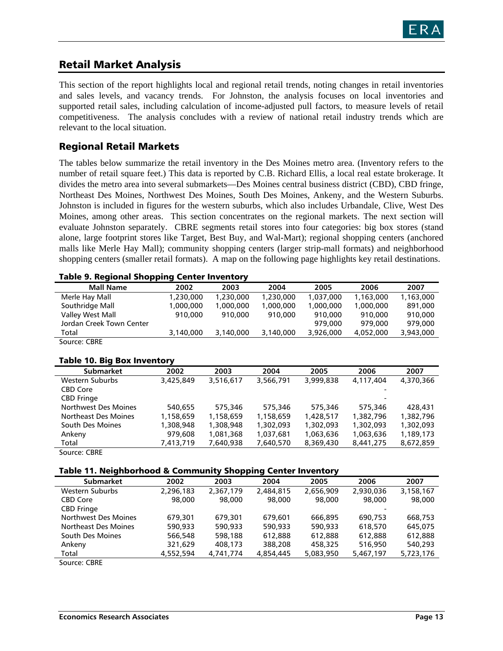

## Retail Market Analysis

This section of the report highlights local and regional retail trends, noting changes in retail inventories and sales levels, and vacancy trends. For Johnston, the analysis focuses on local inventories and supported retail sales, including calculation of income-adjusted pull factors, to measure levels of retail competitiveness. The analysis concludes with a review of national retail industry trends which are relevant to the local situation.

### Regional Retail Markets

The tables below summarize the retail inventory in the Des Moines metro area. (Inventory refers to the number of retail square feet.) This data is reported by C.B. Richard Ellis, a local real estate brokerage. It divides the metro area into several submarkets—Des Moines central business district (CBD), CBD fringe, Northeast Des Moines, Northwest Des Moines, South Des Moines, Ankeny, and the Western Suburbs. Johnston is included in figures for the western suburbs, which also includes Urbandale, Clive, West Des Moines, among other areas. This section concentrates on the regional markets. The next section will evaluate Johnston separately. CBRE segments retail stores into four categories: big box stores (stand alone, large footprint stores like Target, Best Buy, and Wal-Mart); regional shopping centers (anchored malls like Merle Hay Mall); community shopping centers (larger strip-mall formats) and neighborhood shopping centers (smaller retail formats). A map on the following page highlights key retail destinations.

#### Table 9. Regional Shopping Center Inventory

|                          | .         |           |           |           |           |           |
|--------------------------|-----------|-----------|-----------|-----------|-----------|-----------|
| <b>Mall Name</b>         | 2002      | 2003      | 2004      | 2005      | 2006      | 2007      |
| Merle Hay Mall           | 1,230,000 | 1,230,000 | 1,230,000 | 1,037,000 | 1,163,000 | 1,163,000 |
| Southridge Mall          | 1,000,000 | 1.000.000 | 1,000,000 | 1,000,000 | 1,000,000 | 891,000   |
| Valley West Mall         | 910,000   | 910,000   | 910,000   | 910,000   | 910,000   | 910,000   |
| Jordan Creek Town Center |           |           |           | 979,000   | 979,000   | 979,000   |
| Total                    | 3,140,000 | 3,140,000 | 3,140,000 | 3,926,000 | 4,052,000 | 3,943,000 |
| Source: CBRE             |           |           |           |           |           |           |

#### Table 10. Big Box Inventory

| <b>Submarket</b>     | 2002      | 2003      | 2004      | 2005      | 2006                     | 2007      |
|----------------------|-----------|-----------|-----------|-----------|--------------------------|-----------|
| Western Suburbs      | 3,425,849 | 3.516.617 | 3,566,791 | 3.999.838 | 4,117,404                | 4,370,366 |
| <b>CBD Core</b>      |           |           |           |           |                          |           |
| <b>CBD Fringe</b>    |           |           |           |           | $\overline{\phantom{0}}$ |           |
| Northwest Des Moines | 540.655   | 575,346   | 575,346   | 575,346   | 575,346                  | 428,431   |
| Northeast Des Moines | 1,158,659 | 1,158,659 | 1,158,659 | 1,428,517 | 1,382,796                | 1,382,796 |
| South Des Moines     | 1,308,948 | 1,308,948 | 1,302,093 | 1,302,093 | 1,302,093                | 1,302,093 |
| Ankeny               | 979,608   | 1,081,368 | 1,037,681 | 1,063,636 | 1,063,636                | 1,189,173 |
| Total                | 7,413,719 | 7,640,938 | 7,640,570 | 8,369,430 | 8,441,275                | 8,672,859 |
| $\sim$ $\sim$        |           |           |           |           |                          |           |

Source: CBRE

#### Table 11. Neighborhood & Community Shopping Center Inventory

| -                    |           | . .       | -         |           |           |           |
|----------------------|-----------|-----------|-----------|-----------|-----------|-----------|
| <b>Submarket</b>     | 2002      | 2003      | 2004      | 2005      | 2006      | 2007      |
| Western Suburbs      | 2,296,183 | 2,367,179 | 2,484,815 | 2,656,909 | 2,930,036 | 3,158,167 |
| <b>CBD Core</b>      | 98,000    | 98,000    | 98,000    | 98,000    | 98,000    | 98,000    |
| <b>CBD Fringe</b>    |           |           |           |           |           |           |
| Northwest Des Moines | 679,301   | 679.301   | 679.601   | 666,895   | 690.753   | 668,753   |
| Northeast Des Moines | 590,933   | 590.933   | 590,933   | 590.933   | 618,570   | 645.075   |
| South Des Moines     | 566,548   | 598,188   | 612,888   | 612.888   | 612,888   | 612.888   |
| Ankeny               | 321,629   | 408,173   | 388,208   | 458,325   | 516,950   | 540,293   |
| Total                | 4,552,594 | 4,741,774 | 4,854,445 | 5,083,950 | 5,467,197 | 5,723,176 |
| $\sim$<br>$- - - -$  |           |           |           |           |           |           |

Source: CBRE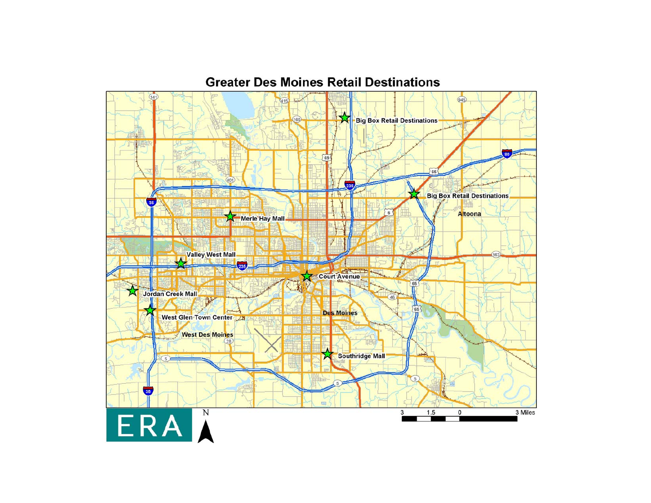## **Greater Des Moines Retail Destinations**

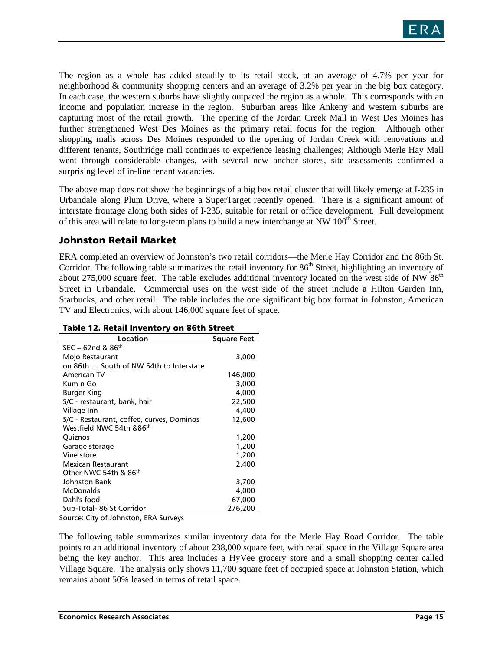

The region as a whole has added steadily to its retail stock, at an average of 4.7% per year for neighborhood & community shopping centers and an average of 3.2% per year in the big box category. In each case, the western suburbs have slightly outpaced the region as a whole. This corresponds with an income and population increase in the region. Suburban areas like Ankeny and western suburbs are capturing most of the retail growth. The opening of the Jordan Creek Mall in West Des Moines has further strengthened West Des Moines as the primary retail focus for the region. Although other shopping malls across Des Moines responded to the opening of Jordan Creek with renovations and different tenants, Southridge mall continues to experience leasing challenges; Although Merle Hay Mall went through considerable changes, with several new anchor stores, site assessments confirmed a surprising level of in-line tenant vacancies.

The above map does not show the beginnings of a big box retail cluster that will likely emerge at I-235 in Urbandale along Plum Drive, where a SuperTarget recently opened. There is a significant amount of interstate frontage along both sides of I-235, suitable for retail or office development. Full development of this area will relate to long-term plans to build a new interchange at NW  $100<sup>th</sup>$  Street.

### Johnston Retail Market

ERA completed an overview of Johnston's two retail corridors—the Merle Hay Corridor and the 86th St. Corridor. The following table summarizes the retail inventory for 86<sup>th</sup> Street, highlighting an inventory of about 275,000 square feet. The table excludes additional inventory located on the west side of NW  $86<sup>th</sup>$ Street in Urbandale. Commercial uses on the west side of the street include a Hilton Garden Inn, Starbucks, and other retail. The table includes the one significant big box format in Johnston, American TV and Electronics, with about 146,000 square feet of space.

| Location                                  | Square Feet |
|-------------------------------------------|-------------|
| $SEC - 62nd & 86th$                       |             |
| Mojo Restaurant                           | 3,000       |
| on 86th  South of NW 54th to Interstate   |             |
| American TV                               | 146,000     |
| Kum n Go                                  | 3,000       |
| Burger King                               | 4,000       |
| S/C - restaurant, bank, hair              | 22,500      |
| Village Inn                               | 4,400       |
| S/C - Restaurant, coffee, curves, Dominos | 12,600      |
| Westfield NWC 54th &86 <sup>th</sup>      |             |
| Quiznos                                   | 1,200       |
| Garage storage                            | 1,200       |
| Vine store                                | 1,200       |
| Mexican Restaurant                        | 2,400       |
| Other NWC 54th & 86th                     |             |
| Johnston Bank                             | 3,700       |
| McDonalds                                 | 4,000       |
| Dahl's food                               | 67,000      |
| Sub-Total- 86 St Corridor                 | 276,200     |

#### Table 12. Retail Inventory on 86th Street

Source: City of Johnston, ERA Surveys

The following table summarizes similar inventory data for the Merle Hay Road Corridor. The table points to an additional inventory of about 238,000 square feet, with retail space in the Village Square area being the key anchor. This area includes a HyVee grocery store and a small shopping center called Village Square. The analysis only shows 11,700 square feet of occupied space at Johnston Station, which remains about 50% leased in terms of retail space.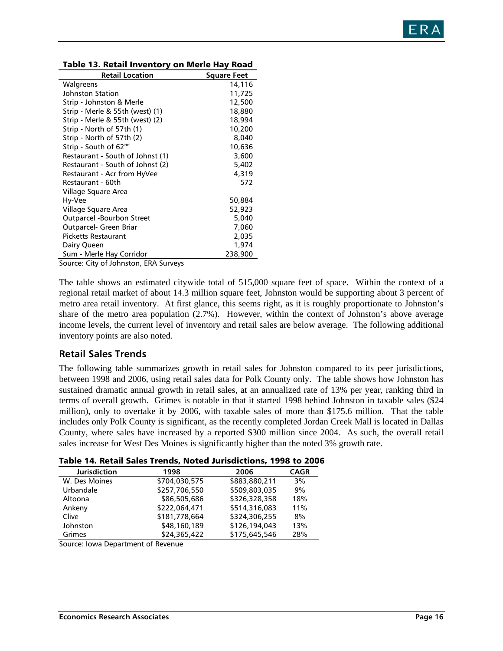

| <b>Retail Location</b>            | <b>Square Feet</b> |
|-----------------------------------|--------------------|
| Walgreens                         | 14,116             |
| Johnston Station                  | 11,725             |
| Strip - Johnston & Merle          | 12,500             |
| Strip - Merle & 55th (west) (1)   | 18,880             |
| Strip - Merle & 55th (west) (2)   | 18,994             |
| Strip - North of 57th (1)         | 10,200             |
| Strip - North of 57th (2)         | 8,040              |
| Strip - South of 62 <sup>nd</sup> | 10,636             |
| Restaurant - South of Johnst (1)  | 3,600              |
| Restaurant - South of Johnst (2)  | 5,402              |
| Restaurant - Acr from HyVee       | 4,319              |
| Restaurant - 60th                 | 572                |
| Village Square Area               |                    |
| Hy-Vee                            | 50,884             |
| Village Square Area               | 52,923             |
| Outparcel -Bourbon Street         | 5,040              |
| Outparcel- Green Briar            | 7,060              |
| <b>Picketts Restaurant</b>        | 2,035              |
| Dairy Queen                       | 1,974              |
| Sum - Merle Hay Corridor          | 238,900            |

| Table 13. Retail Inventory on Merle Hay Road |  |
|----------------------------------------------|--|
|----------------------------------------------|--|

Source: City of Johnston, ERA Surveys

The table shows an estimated citywide total of 515,000 square feet of space. Within the context of a regional retail market of about 14.3 million square feet, Johnston would be supporting about 3 percent of metro area retail inventory. At first glance, this seems right, as it is roughly proportionate to Johnston's share of the metro area population (2.7%). However, within the context of Johnston's above average income levels, the current level of inventory and retail sales are below average. The following additional inventory points are also noted.

#### **Retail Sales Trends**

The following table summarizes growth in retail sales for Johnston compared to its peer jurisdictions, between 1998 and 2006, using retail sales data for Polk County only. The table shows how Johnston has sustained dramatic annual growth in retail sales, at an annualized rate of 13% per year, ranking third in terms of overall growth. Grimes is notable in that it started 1998 behind Johnston in taxable sales (\$24 million), only to overtake it by 2006, with taxable sales of more than \$175.6 million. That the table includes only Polk County is significant, as the recently completed Jordan Creek Mall is located in Dallas County, where sales have increased by a reported \$300 million since 2004. As such, the overall retail sales increase for West Des Moines is significantly higher than the noted 3% growth rate.

|  |  | Table 14. Retail Sales Trends, Noted Jurisdictions, 1998 to 2006 |  |  |
|--|--|------------------------------------------------------------------|--|--|
|--|--|------------------------------------------------------------------|--|--|

| <b>Jurisdiction</b> | 1998          | 2006          | <b>CAGR</b> |
|---------------------|---------------|---------------|-------------|
| W. Des Moines       | \$704,030,575 | \$883,880,211 | 3%          |
| Urbandale           | \$257,706,550 | \$509,803,035 | 9%          |
| Altoona             | \$86,505,686  | \$326,328,358 | 18%         |
| Ankeny              | \$222.064.471 | \$514,316,083 | 11%         |
| Clive               | \$181,778,664 | \$324,306,255 | 8%          |
| Johnston            | \$48,160,189  | \$126,194,043 | 13%         |
| Grimes              | \$24,365,422  | \$175,645,546 | 28%         |

Source: Iowa Department of Revenue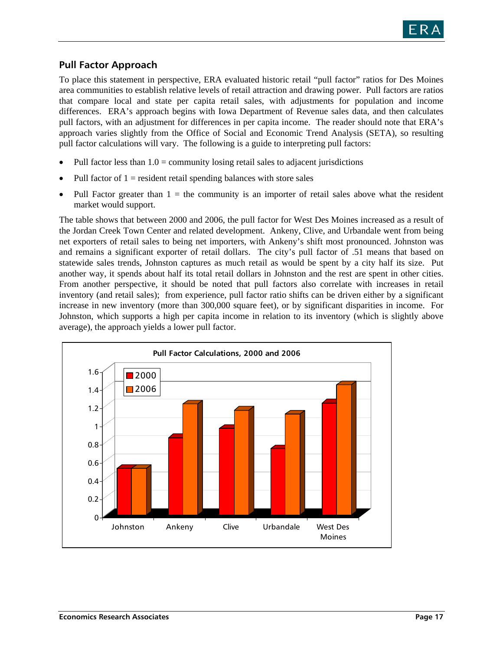

### **Pull Factor Approach**

To place this statement in perspective, ERA evaluated historic retail "pull factor" ratios for Des Moines area communities to establish relative levels of retail attraction and drawing power. Pull factors are ratios that compare local and state per capita retail sales, with adjustments for population and income differences. ERA's approach begins with Iowa Department of Revenue sales data, and then calculates pull factors, with an adjustment for differences in per capita income. The reader should note that ERA's approach varies slightly from the Office of Social and Economic Trend Analysis (SETA), so resulting pull factor calculations will vary. The following is a guide to interpreting pull factors:

- Pull factor less than  $1.0 =$  community losing retail sales to adjacent jurisdictions
- Pull factor of  $1 =$  resident retail spending balances with store sales
- Pull Factor greater than  $1 =$  the community is an importer of retail sales above what the resident market would support.

The table shows that between 2000 and 2006, the pull factor for West Des Moines increased as a result of the Jordan Creek Town Center and related development. Ankeny, Clive, and Urbandale went from being net exporters of retail sales to being net importers, with Ankeny's shift most pronounced. Johnston was and remains a significant exporter of retail dollars. The city's pull factor of .51 means that based on statewide sales trends, Johnston captures as much retail as would be spent by a city half its size. Put another way, it spends about half its total retail dollars in Johnston and the rest are spent in other cities. From another perspective, it should be noted that pull factors also correlate with increases in retail inventory (and retail sales); from experience, pull factor ratio shifts can be driven either by a significant increase in new inventory (more than 300,000 square feet), or by significant disparities in income. For Johnston, which supports a high per capita income in relation to its inventory (which is slightly above average), the approach yields a lower pull factor.

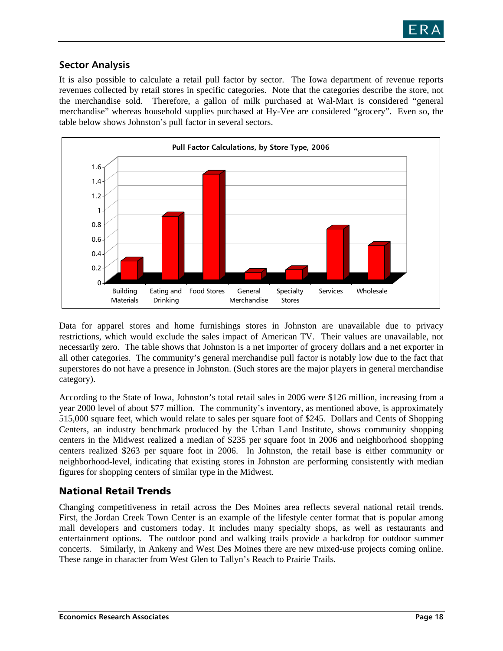

### **Sector Analysis**

It is also possible to calculate a retail pull factor by sector. The Iowa department of revenue reports revenues collected by retail stores in specific categories. Note that the categories describe the store, not the merchandise sold. Therefore, a gallon of milk purchased at Wal-Mart is considered "general merchandise" whereas household supplies purchased at Hy-Vee are considered "grocery". Even so, the table below shows Johnston's pull factor in several sectors.



Data for apparel stores and home furnishings stores in Johnston are unavailable due to privacy restrictions, which would exclude the sales impact of American TV. Their values are unavailable, not necessarily zero. The table shows that Johnston is a net importer of grocery dollars and a net exporter in all other categories. The community's general merchandise pull factor is notably low due to the fact that superstores do not have a presence in Johnston. (Such stores are the major players in general merchandise category).

According to the State of Iowa, Johnston's total retail sales in 2006 were \$126 million, increasing from a year 2000 level of about \$77 million. The community's inventory, as mentioned above, is approximately 515,000 square feet, which would relate to sales per square foot of \$245. Dollars and Cents of Shopping Centers, an industry benchmark produced by the Urban Land Institute, shows community shopping centers in the Midwest realized a median of \$235 per square foot in 2006 and neighborhood shopping centers realized \$263 per square foot in 2006. In Johnston, the retail base is either community or neighborhood-level, indicating that existing stores in Johnston are performing consistently with median figures for shopping centers of similar type in the Midwest.

### National Retail Trends

Changing competitiveness in retail across the Des Moines area reflects several national retail trends. First, the Jordan Creek Town Center is an example of the lifestyle center format that is popular among mall developers and customers today. It includes many specialty shops, as well as restaurants and entertainment options. The outdoor pond and walking trails provide a backdrop for outdoor summer concerts. Similarly, in Ankeny and West Des Moines there are new mixed-use projects coming online. These range in character from West Glen to Tallyn's Reach to Prairie Trails.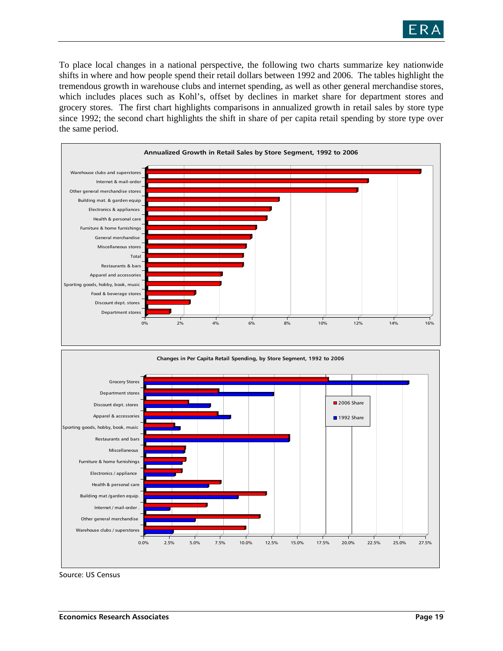

To place local changes in a national perspective, the following two charts summarize key nationwide shifts in where and how people spend their retail dollars between 1992 and 2006. The tables highlight the tremendous growth in warehouse clubs and internet spending, as well as other general merchandise stores, which includes places such as Kohl's, offset by declines in market share for department stores and grocery stores. The first chart highlights comparisons in annualized growth in retail sales by store type since 1992; the second chart highlights the shift in share of per capita retail spending by store type over the same period.



Source: US Census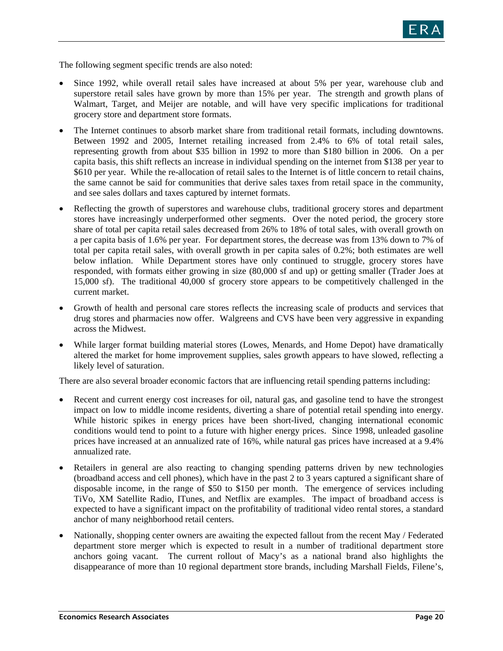

The following segment specific trends are also noted:

- Since 1992, while overall retail sales have increased at about 5% per year, warehouse club and superstore retail sales have grown by more than 15% per year. The strength and growth plans of Walmart, Target, and Meijer are notable, and will have very specific implications for traditional grocery store and department store formats.
- The Internet continues to absorb market share from traditional retail formats, including downtowns. Between 1992 and 2005, Internet retailing increased from 2.4% to 6% of total retail sales, representing growth from about \$35 billion in 1992 to more than \$180 billion in 2006. On a per capita basis, this shift reflects an increase in individual spending on the internet from \$138 per year to \$610 per year. While the re-allocation of retail sales to the Internet is of little concern to retail chains, the same cannot be said for communities that derive sales taxes from retail space in the community, and see sales dollars and taxes captured by internet formats.
- Reflecting the growth of superstores and warehouse clubs, traditional grocery stores and department stores have increasingly underperformed other segments. Over the noted period, the grocery store share of total per capita retail sales decreased from 26% to 18% of total sales, with overall growth on a per capita basis of 1.6% per year. For department stores, the decrease was from 13% down to 7% of total per capita retail sales, with overall growth in per capita sales of 0.2%; both estimates are well below inflation. While Department stores have only continued to struggle, grocery stores have responded, with formats either growing in size (80,000 sf and up) or getting smaller (Trader Joes at 15,000 sf). The traditional 40,000 sf grocery store appears to be competitively challenged in the current market.
- Growth of health and personal care stores reflects the increasing scale of products and services that drug stores and pharmacies now offer. Walgreens and CVS have been very aggressive in expanding across the Midwest.
- While larger format building material stores (Lowes, Menards, and Home Depot) have dramatically altered the market for home improvement supplies, sales growth appears to have slowed, reflecting a likely level of saturation.

There are also several broader economic factors that are influencing retail spending patterns including:

- Recent and current energy cost increases for oil, natural gas, and gasoline tend to have the strongest impact on low to middle income residents, diverting a share of potential retail spending into energy. While historic spikes in energy prices have been short-lived, changing international economic conditions would tend to point to a future with higher energy prices. Since 1998, unleaded gasoline prices have increased at an annualized rate of 16%, while natural gas prices have increased at a 9.4% annualized rate.
- Retailers in general are also reacting to changing spending patterns driven by new technologies (broadband access and cell phones), which have in the past 2 to 3 years captured a significant share of disposable income, in the range of \$50 to \$150 per month. The emergence of services including TiVo, XM Satellite Radio, ITunes, and Netflix are examples. The impact of broadband access is expected to have a significant impact on the profitability of traditional video rental stores, a standard anchor of many neighborhood retail centers.
- Nationally, shopping center owners are awaiting the expected fallout from the recent May / Federated department store merger which is expected to result in a number of traditional department store anchors going vacant. The current rollout of Macy's as a national brand also highlights the disappearance of more than 10 regional department store brands, including Marshall Fields, Filene's,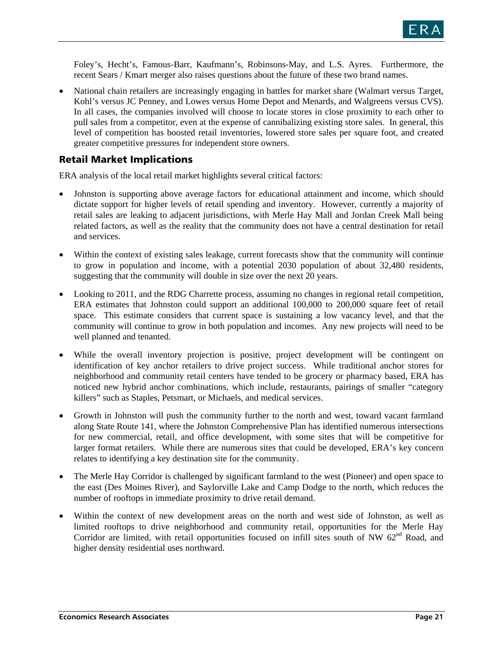Foley's, Hecht's, Famous-Barr, Kaufmann's, Robinsons-May, and L.S. Ayres. Furthermore, the recent Sears / Kmart merger also raises questions about the future of these two brand names.

• National chain retailers are increasingly engaging in battles for market share (Walmart versus Target, Kohl's versus JC Penney, and Lowes versus Home Depot and Menards, and Walgreens versus CVS). In all cases, the companies involved will choose to locate stores in close proximity to each other to pull sales from a competitor, even at the expense of cannibalizing existing store sales. In general, this level of competition has boosted retail inventories, lowered store sales per square foot, and created greater competitive pressures for independent store owners.

### Retail Market Implications

ERA analysis of the local retail market highlights several critical factors:

- Johnston is supporting above average factors for educational attainment and income, which should dictate support for higher levels of retail spending and inventory. However, currently a majority of retail sales are leaking to adjacent jurisdictions, with Merle Hay Mall and Jordan Creek Mall being related factors, as well as the reality that the community does not have a central destination for retail and services.
- Within the context of existing sales leakage, current forecasts show that the community will continue to grow in population and income, with a potential 2030 population of about 32,480 residents, suggesting that the community will double in size over the next 20 years.
- Looking to 2011, and the RDG Charrette process, assuming no changes in regional retail competition, ERA estimates that Johnston could support an additional 100,000 to 200,000 square feet of retail space. This estimate considers that current space is sustaining a low vacancy level, and that the community will continue to grow in both population and incomes. Any new projects will need to be well planned and tenanted.
- While the overall inventory projection is positive, project development will be contingent on identification of key anchor retailers to drive project success. While traditional anchor stores for neighborhood and community retail centers have tended to be grocery or pharmacy based, ERA has noticed new hybrid anchor combinations, which include, restaurants, pairings of smaller "category killers" such as Staples, Petsmart, or Michaels, and medical services.
- Growth in Johnston will push the community further to the north and west, toward vacant farmland along State Route 141, where the Johnston Comprehensive Plan has identified numerous intersections for new commercial, retail, and office development, with some sites that will be competitive for larger format retailers. While there are numerous sites that could be developed, ERA's key concern relates to identifying a key destination site for the community.
- The Merle Hay Corridor is challenged by significant farmland to the west (Pioneer) and open space to the east (Des Moines River), and Saylorville Lake and Camp Dodge to the north, which reduces the number of rooftops in immediate proximity to drive retail demand.
- Within the context of new development areas on the north and west side of Johnston, as well as limited rooftops to drive neighborhood and community retail, opportunities for the Merle Hay Corridor are limited, with retail opportunities focused on infill sites south of NW 62<sup>nd</sup> Road, and higher density residential uses northward.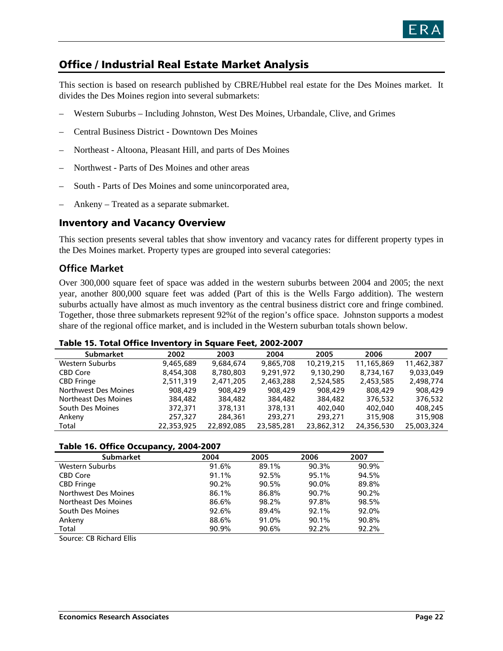

## Office / Industrial Real Estate Market Analysis

This section is based on research published by CBRE/Hubbel real estate for the Des Moines market. It divides the Des Moines region into several submarkets:

- Western Suburbs Including Johnston, West Des Moines, Urbandale, Clive, and Grimes
- Central Business District Downtown Des Moines
- Northeast Altoona, Pleasant Hill, and parts of Des Moines
- Northwest Parts of Des Moines and other areas
- South Parts of Des Moines and some unincorporated area,
- Ankeny Treated as a separate submarket.

### Inventory and Vacancy Overview

This section presents several tables that show inventory and vacancy rates for different property types in the Des Moines market. Property types are grouped into several categories:

### **Office Market**

Over 300,000 square feet of space was added in the western suburbs between 2004 and 2005; the next year, another 800,000 square feet was added (Part of this is the Wells Fargo addition). The western suburbs actually have almost as much inventory as the central business district core and fringe combined. Together, those three submarkets represent 92%t of the region's office space. Johnston supports a modest share of the regional office market, and is included in the Western suburban totals shown below.

#### Table 15. Total Office Inventory in Square Feet, 2002-2007

| <b>Submarket</b>            | 2002       | 2003       | 2004       | 2005       | 2006       | 2007       |  |
|-----------------------------|------------|------------|------------|------------|------------|------------|--|
| Western Suburbs             | 9.465.689  | 9.684.674  | 9.865.708  | 10.219.215 | 11.165.869 | 11.462.387 |  |
| <b>CBD Core</b>             | 8,454,308  | 8,780,803  | 9,291,972  | 9,130,290  | 8,734,167  | 9,033,049  |  |
| <b>CBD Fringe</b>           | 2,511,319  | 2,471,205  | 2,463,288  | 2,524,585  | 2,453,585  | 2,498,774  |  |
| Northwest Des Moines        | 908,429    | 908,429    | 908,429    | 908,429    | 808,429    | 908,429    |  |
| <b>Northeast Des Moines</b> | 384,482    | 384,482    | 384,482    | 384,482    | 376.532    | 376.532    |  |
| South Des Moines            | 372,371    | 378,131    | 378,131    | 402,040    | 402,040    | 408,245    |  |
| Ankeny                      | 257,327    | 284,361    | 293,271    | 293,271    | 315,908    | 315,908    |  |
| Total                       | 22,353,925 | 22,892,085 | 23,585,281 | 23,862,312 | 24,356,530 | 25,003,324 |  |

#### Table 16. Office Occupancy, 2004-2007

| <b>Submarket</b>                     | 2004  | 2005  | 2006  | 2007  |
|--------------------------------------|-------|-------|-------|-------|
| Western Suburbs                      | 91.6% | 89.1% | 90.3% | 90.9% |
| <b>CBD Core</b>                      | 91.1% | 92.5% | 95.1% | 94.5% |
| <b>CBD</b> Fringe                    | 90.2% | 90.5% | 90.0% | 89.8% |
| Northwest Des Moines                 | 86.1% | 86.8% | 90.7% | 90.2% |
| Northeast Des Moines                 | 86.6% | 98.2% | 97.8% | 98.5% |
| South Des Moines                     | 92.6% | 89.4% | 92.1% | 92.0% |
| Ankeny                               | 88.6% | 91.0% | 90.1% | 90.8% |
| Total                                | 90.9% | 90.6% | 92.2% | 92.2% |
| $\cdot$ $- \cdot \cdot$<br>$- - - -$ |       |       |       |       |

Source: CB Richard Ellis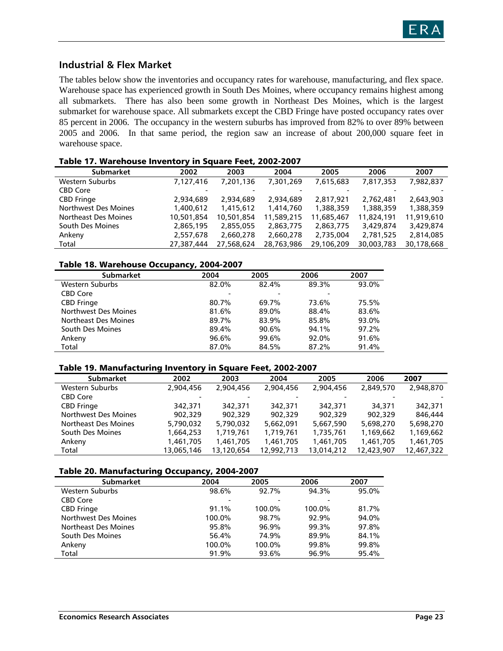

### **Industrial & Flex Market**

The tables below show the inventories and occupancy rates for warehouse, manufacturing, and flex space. Warehouse space has experienced growth in South Des Moines, where occupancy remains highest among all submarkets. There has also been some growth in Northeast Des Moines, which is the largest submarket for warehouse space. All submarkets except the CBD Fringe have posted occupancy rates over 85 percent in 2006. The occupancy in the western suburbs has improved from 82% to over 89% between 2005 and 2006. In that same period, the region saw an increase of about 200,000 square feet in warehouse space.

|                             | .          |            |            |            |            |            |
|-----------------------------|------------|------------|------------|------------|------------|------------|
| <b>Submarket</b>            | 2002       | 2003       | 2004       | 2005       | 2006       | 2007       |
| Western Suburbs             | 7,127,416  | 7,201,136  | 7,301,269  | 7,615,683  | 7,817,353  | 7,982,837  |
| <b>CBD Core</b>             |            |            |            |            |            |            |
| <b>CBD Fringe</b>           | 2,934,689  | 2,934,689  | 2,934,689  | 2,817,921  | 2,762,481  | 2,643,903  |
| Northwest Des Moines        | 1,400,612  | 1,415,612  | 1,414,760  | 1,388,359  | 1,388,359  | 1,388,359  |
| <b>Northeast Des Moines</b> | 10,501,854 | 10,501,854 | 11,589,215 | 11,685,467 | 11,824,191 | 11,919,610 |
| South Des Moines            | 2,865,195  | 2,855,055  | 2,863,775  | 2,863,775  | 3,429,874  | 3,429,874  |
| Ankeny                      | 2,557,678  | 2,660,278  | 2,660,278  | 2,735,004  | 2,781,525  | 2,814,085  |
| Total                       | 27,387,444 | 27,568,624 | 28,763,986 | 29,106,209 | 30,003,783 | 30,178,668 |
|                             |            |            |            |            |            |            |

#### Table 18. Warehouse Occupancy, 2004-2007

|                      | . .   |       |       |       |
|----------------------|-------|-------|-------|-------|
| <b>Submarket</b>     | 2004  | 2005  | 2006  | 2007  |
| Western Suburbs      | 82.0% | 82.4% | 89.3% | 93.0% |
| <b>CBD Core</b>      |       |       |       |       |
| <b>CBD Fringe</b>    | 80.7% | 69.7% | 73.6% | 75.5% |
| Northwest Des Moines | 81.6% | 89.0% | 88.4% | 83.6% |
| Northeast Des Moines | 89.7% | 83.9% | 85.8% | 93.0% |
| South Des Moines     | 89.4% | 90.6% | 94.1% | 97.2% |
| Ankeny               | 96.6% | 99.6% | 92.0% | 91.6% |
| Total                | 87.0% | 84.5% | 87.2% | 91.4% |

#### Table 19. Manufacturing Inventory in Square Feet, 2002-2007

| <b>Submarket</b>     | 2002       | 2003       | 2004       | 2005       | 2006       | 2007       |
|----------------------|------------|------------|------------|------------|------------|------------|
| Western Suburbs      | 2,904,456  | 2,904,456  | 2,904,456  | 2,904,456  | 2,849,570  | 2,948,870  |
| <b>CBD Core</b>      |            |            |            |            |            |            |
| <b>CBD Fringe</b>    | 342,371    | 342,371    | 342,371    | 342,371    | 34,371     | 342,371    |
| Northwest Des Moines | 902.329    | 902,329    | 902,329    | 902,329    | 902,329    | 846,444    |
| Northeast Des Moines | 5,790,032  | 5,790,032  | 5,662,091  | 5,667,590  | 5,698,270  | 5,698,270  |
| South Des Moines     | 1,664,253  | 1,719,761  | 1,719,761  | 1,735,761  | 1,169,662  | 1,169,662  |
| Ankeny               | 1,461,705  | 1,461,705  | 1,461,705  | 1,461,705  | 1,461,705  | 1,461,705  |
| Total                | 13,065,146 | 13,120,654 | 12,992,713 | 13,014,212 | 12,423,907 | 12,467,322 |

#### Table 20. Manufacturing Occupancy, 2004-2007

| <b>Submarket</b>            | 2004   | 2005   | 2006   | 2007  |
|-----------------------------|--------|--------|--------|-------|
| Western Suburbs             | 98.6%  | 92.7%  | 94.3%  | 95.0% |
| <b>CBD Core</b>             |        |        | ٠      |       |
| <b>CBD</b> Fringe           | 91.1%  | 100.0% | 100.0% | 81.7% |
| <b>Northwest Des Moines</b> | 100.0% | 98.7%  | 92.9%  | 94.0% |
| Northeast Des Moines        | 95.8%  | 96.9%  | 99.3%  | 97.8% |
| South Des Moines            | 56.4%  | 74.9%  | 89.9%  | 84.1% |
| Ankeny                      | 100.0% | 100.0% | 99.8%  | 99.8% |
| Total                       | 91.9%  | 93.6%  | 96.9%  | 95.4% |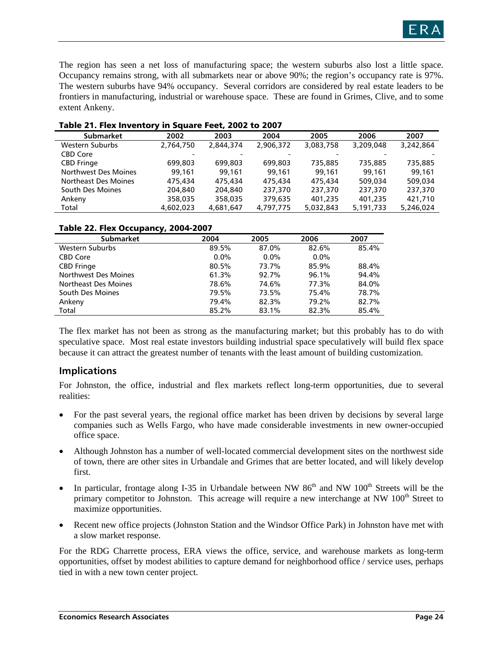The region has seen a net loss of manufacturing space; the western suburbs also lost a little space. Occupancy remains strong, with all submarkets near or above 90%; the region's occupancy rate is 97%. The western suburbs have 94% occupancy. Several corridors are considered by real estate leaders to be frontiers in manufacturing, industrial or warehouse space. These are found in Grimes, Clive, and to some extent Ankeny.

| <b>Submarket</b>     | 2002      | 2003      | 2004      | 2005      | 2006      | 2007      |
|----------------------|-----------|-----------|-----------|-----------|-----------|-----------|
| Western Suburbs      | 2,764,750 | 2,844,374 | 2,906,372 | 3.083.758 | 3,209,048 | 3,242,864 |
| <b>CBD Core</b>      |           |           |           |           |           |           |
| <b>CBD Fringe</b>    | 699.803   | 699,803   | 699,803   | 735.885   | 735.885   | 735,885   |
| Northwest Des Moines | 99.161    | 99.161    | 99.161    | 99.161    | 99.161    | 99.161    |
| Northeast Des Moines | 475,434   | 475,434   | 475,434   | 475,434   | 509.034   | 509.034   |
| South Des Moines     | 204,840   | 204,840   | 237,370   | 237,370   | 237,370   | 237,370   |
| Ankeny               | 358,035   | 358,035   | 379,635   | 401,235   | 401,235   | 421,710   |
| Total                | 4,602,023 | 4,681,647 | 4,797,775 | 5,032,843 | 5,191,733 | 5,246,024 |

#### Table 21. Flex Inventory in Square Feet, 2002 to 2007

#### Table 22. Flex Occupancy, 2004-2007

| - -                  |         |         |         |       |
|----------------------|---------|---------|---------|-------|
| <b>Submarket</b>     | 2004    | 2005    | 2006    | 2007  |
| Western Suburbs      | 89.5%   | 87.0%   | 82.6%   | 85.4% |
| <b>CBD Core</b>      | $0.0\%$ | $0.0\%$ | $0.0\%$ |       |
| <b>CBD</b> Fringe    | 80.5%   | 73.7%   | 85.9%   | 88.4% |
| Northwest Des Moines | 61.3%   | 92.7%   | 96.1%   | 94.4% |
| Northeast Des Moines | 78.6%   | 74.6%   | 77.3%   | 84.0% |
| South Des Moines     | 79.5%   | 73.5%   | 75.4%   | 78.7% |
| Ankeny               | 79.4%   | 82.3%   | 79.2%   | 82.7% |
| Total                | 85.2%   | 83.1%   | 82.3%   | 85.4% |

The flex market has not been as strong as the manufacturing market; but this probably has to do with speculative space. Most real estate investors building industrial space speculatively will build flex space because it can attract the greatest number of tenants with the least amount of building customization.

### **Implications**

For Johnston, the office, industrial and flex markets reflect long-term opportunities, due to several realities:

- For the past several years, the regional office market has been driven by decisions by several large companies such as Wells Fargo, who have made considerable investments in new owner-occupied office space.
- Although Johnston has a number of well-located commercial development sites on the northwest side of town, there are other sites in Urbandale and Grimes that are better located, and will likely develop first.
- In particular, frontage along I-35 in Urbandale between NW 86<sup>th</sup> and NW 100<sup>th</sup> Streets will be the primary competitor to Johnston. This acreage will require a new interchange at NW 100<sup>th</sup> Street to maximize opportunities.
- Recent new office projects (Johnston Station and the Windsor Office Park) in Johnston have met with a slow market response.

For the RDG Charrette process, ERA views the office, service, and warehouse markets as long-term opportunities, offset by modest abilities to capture demand for neighborhood office / service uses, perhaps tied in with a new town center project.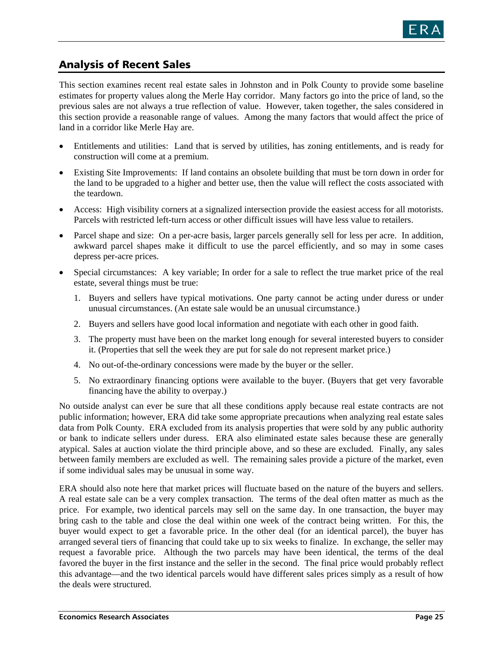

## Analysis of Recent Sales

This section examines recent real estate sales in Johnston and in Polk County to provide some baseline estimates for property values along the Merle Hay corridor. Many factors go into the price of land, so the previous sales are not always a true reflection of value. However, taken together, the sales considered in this section provide a reasonable range of values. Among the many factors that would affect the price of land in a corridor like Merle Hay are.

- Entitlements and utilities: Land that is served by utilities, has zoning entitlements, and is ready for construction will come at a premium.
- Existing Site Improvements: If land contains an obsolete building that must be torn down in order for the land to be upgraded to a higher and better use, then the value will reflect the costs associated with the teardown.
- Access: High visibility corners at a signalized intersection provide the easiest access for all motorists. Parcels with restricted left-turn access or other difficult issues will have less value to retailers.
- Parcel shape and size: On a per-acre basis, larger parcels generally sell for less per acre. In addition, awkward parcel shapes make it difficult to use the parcel efficiently, and so may in some cases depress per-acre prices.
- Special circumstances: A key variable; In order for a sale to reflect the true market price of the real estate, several things must be true:
	- 1. Buyers and sellers have typical motivations. One party cannot be acting under duress or under unusual circumstances. (An estate sale would be an unusual circumstance.)
	- 2. Buyers and sellers have good local information and negotiate with each other in good faith.
	- 3. The property must have been on the market long enough for several interested buyers to consider it. (Properties that sell the week they are put for sale do not represent market price.)
	- 4. No out-of-the-ordinary concessions were made by the buyer or the seller.
	- 5. No extraordinary financing options were available to the buyer. (Buyers that get very favorable financing have the ability to overpay.)

No outside analyst can ever be sure that all these conditions apply because real estate contracts are not public information; however, ERA did take some appropriate precautions when analyzing real estate sales data from Polk County. ERA excluded from its analysis properties that were sold by any public authority or bank to indicate sellers under duress. ERA also eliminated estate sales because these are generally atypical. Sales at auction violate the third principle above, and so these are excluded. Finally, any sales between family members are excluded as well. The remaining sales provide a picture of the market, even if some individual sales may be unusual in some way.

ERA should also note here that market prices will fluctuate based on the nature of the buyers and sellers. A real estate sale can be a very complex transaction. The terms of the deal often matter as much as the price. For example, two identical parcels may sell on the same day. In one transaction, the buyer may bring cash to the table and close the deal within one week of the contract being written. For this, the buyer would expect to get a favorable price. In the other deal (for an identical parcel), the buyer has arranged several tiers of financing that could take up to six weeks to finalize. In exchange, the seller may request a favorable price. Although the two parcels may have been identical, the terms of the deal favored the buyer in the first instance and the seller in the second. The final price would probably reflect this advantage—and the two identical parcels would have different sales prices simply as a result of how the deals were structured.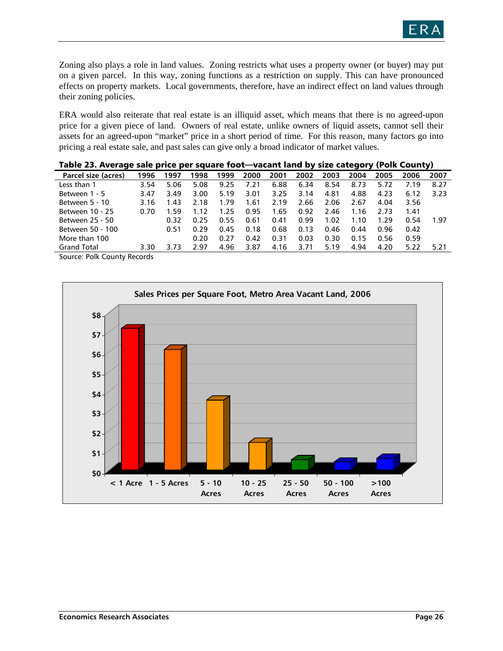

Zoning also plays a role in land values. Zoning restricts what uses a property owner (or buyer) may put on a given parcel. In this way, zoning functions as a restriction on supply. This can have pronounced effects on property markets. Local governments, therefore, have an indirect effect on land values through their zoning policies.

ERA would also reiterate that real estate is an illiquid asset, which means that there is no agreed-upon price for a given piece of land. Owners of real estate, unlike owners of liquid assets, cannot sell their assets for an agreed-upon "market" price in a short period of time. For this reason, many factors go into pricing a real estate sale, and past sales can give only a broad indicator of market values.

|                      |      |      | --   |      |      | ------------- |      | ---- |      |      | -9-1, \. -… ---…-,, |      |
|----------------------|------|------|------|------|------|---------------|------|------|------|------|---------------------|------|
| Parcel size (acres)  | 1996 | 1997 | 1998 | 1999 | 2000 | 2001          | 2002 | 2003 | 2004 | 2005 | 2006                | 2007 |
| Less than 1          | 3.54 | 5.06 | 5.08 | 9.25 | 7.21 | 6.88          | 6.34 | 8.54 | 8.73 | 5.72 | 7.19                | 8.27 |
| Between 1 - 5        | 3.47 | 3.49 | 3.00 | 5.19 | 3.01 | 3.25          | 3.14 | 4.81 | 4.88 | 4.23 | 6.12                | 3.23 |
| Between 5 - 10       | 3.16 | 1.43 | 2.18 | 1.79 | 1.61 | 2.19          | 2.66 | 2.06 | 2.67 | 4.04 | 3.56                |      |
| Between 10 - 25      | 0.70 | 1.59 | 1.12 | 1.25 | 0.95 | 1.65          | 0.92 | 2.46 | 1.16 | 2.73 | 1.41                |      |
| Between 25 - 50      |      | 0.32 | 0.25 | 0.55 | 0.61 | 0.41          | 0.99 | 1.02 | 1.10 | 1.29 | 0.54                | 1.97 |
| Between 50 - 100     |      | 0.51 | 0.29 | 0.45 | 0.18 | 0.68          | 0.13 | 0.46 | 0.44 | 0.96 | 0.42                |      |
| More than 100        |      |      | 0.20 | 0.27 | 0.42 | 0.31          | 0.03 | 0.30 | 0.15 | 0.56 | 0.59                |      |
| <b>Grand Total</b>   | 3.30 | 3.73 | 297  | 4.96 | 3.87 | 4.16          | 3.71 | 5.19 | 4.94 | 4.20 | 5.22                | 5.21 |
| - - -<br>$\sim$<br>- |      |      |      |      |      |               |      |      |      |      |                     |      |

|  | Table 23. Average sale price per square foot—vacant land by size category (Polk County) |  |
|--|-----------------------------------------------------------------------------------------|--|
|  |                                                                                         |  |

Source: Polk County Records

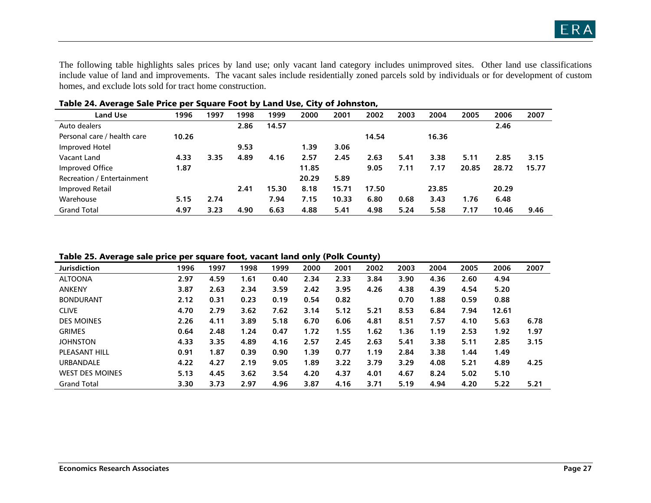The following table highlights sales prices by land use; only vacant land category includes unimproved sites. Other land use classifications include value of land and improvements. The vacant sales include residentially zoned parcels sold by individuals or for development of custom homes, and exclude lots sold for tract home construction.

| <b>Land Use</b>             | 1996  | 1997 | 1998 | 1999  | 2000  | 2001  | 2002  | 2003 | 2004  | 2005  | 2006  | 2007  |
|-----------------------------|-------|------|------|-------|-------|-------|-------|------|-------|-------|-------|-------|
| Auto dealers                |       |      | 2.86 | 14.57 |       |       |       |      |       |       | 2.46  |       |
| Personal care / health care | 10.26 |      |      |       |       |       | 14.54 |      | 16.36 |       |       |       |
| Improved Hotel              |       |      | 9.53 |       | 1.39  | 3.06  |       |      |       |       |       |       |
| Vacant Land                 | 4.33  | 3.35 | 4.89 | 4.16  | 2.57  | 2.45  | 2.63  | 5.41 | 3.38  | 5.11  | 2.85  | 3.15  |
| Improved Office             | 1.87  |      |      |       | 11.85 |       | 9.05  | 7.11 | 7.17  | 20.85 | 28.72 | 15.77 |
| Recreation / Entertainment  |       |      |      |       | 20.29 | 5.89  |       |      |       |       |       |       |
| <b>Improved Retail</b>      |       |      | 2.41 | 15.30 | 8.18  | 15.71 | 17.50 |      | 23.85 |       | 20.29 |       |
| Warehouse                   | 5.15  | 2.74 |      | 7.94  | 7.15  | 10.33 | 6.80  | 0.68 | 3.43  | 1.76  | 6.48  |       |
| <b>Grand Total</b>          | 4.97  | 3.23 | 4.90 | 6.63  | 4.88  | 5.41  | 4.98  | 5.24 | 5.58  | 7.17  | 10.46 | 9.46  |

#### Table 24. Average Sale Price per Square Foot by Land Use, City of Johnston,

Table 25. Average sale price per square foot, vacant land only (Polk County)

| -                      |      |      |      |      | -    |      | - -  |      |      |      |       |      |
|------------------------|------|------|------|------|------|------|------|------|------|------|-------|------|
| <b>Jurisdiction</b>    | 1996 | 1997 | 1998 | 1999 | 2000 | 2001 | 2002 | 2003 | 2004 | 2005 | 2006  | 2007 |
| <b>ALTOONA</b>         | 2.97 | 4.59 | 1.61 | 0.40 | 2.34 | 2.33 | 3.84 | 3.90 | 4.36 | 2.60 | 4.94  |      |
| <b>ANKENY</b>          | 3.87 | 2.63 | 2.34 | 3.59 | 2.42 | 3.95 | 4.26 | 4.38 | 4.39 | 4.54 | 5.20  |      |
| <b>BONDURANT</b>       | 2.12 | 0.31 | 0.23 | 0.19 | 0.54 | 0.82 |      | 0.70 | 1.88 | 0.59 | 0.88  |      |
| <b>CLIVE</b>           | 4.70 | 2.79 | 3.62 | 7.62 | 3.14 | 5.12 | 5.21 | 8.53 | 6.84 | 7.94 | 12.61 |      |
| <b>DES MOINES</b>      | 2.26 | 4.11 | 3.89 | 5.18 | 6.70 | 6.06 | 4.81 | 8.51 | 7.57 | 4.10 | 5.63  | 6.78 |
| <b>GRIMES</b>          | 0.64 | 2.48 | 1.24 | 0.47 | 1.72 | 1.55 | 1.62 | 1.36 | 1.19 | 2.53 | 1.92  | 1.97 |
| <b>JOHNSTON</b>        | 4.33 | 3.35 | 4.89 | 4.16 | 2.57 | 2.45 | 2.63 | 5.41 | 3.38 | 5.11 | 2.85  | 3.15 |
| <b>PLEASANT HILL</b>   | 0.91 | 1.87 | 0.39 | 0.90 | 1.39 | 0.77 | 1.19 | 2.84 | 3.38 | 1.44 | 1.49  |      |
| <b>URBANDALE</b>       | 4.22 | 4.27 | 2.19 | 9.05 | 1.89 | 3.22 | 3.79 | 3.29 | 4.08 | 5.21 | 4.89  | 4.25 |
| <b>WEST DES MOINES</b> | 5.13 | 4.45 | 3.62 | 3.54 | 4.20 | 4.37 | 4.01 | 4.67 | 8.24 | 5.02 | 5.10  |      |
| <b>Grand Total</b>     | 3.30 | 3.73 | 2.97 | 4.96 | 3.87 | 4.16 | 3.71 | 5.19 | 4.94 | 4.20 | 5.22  | 5.21 |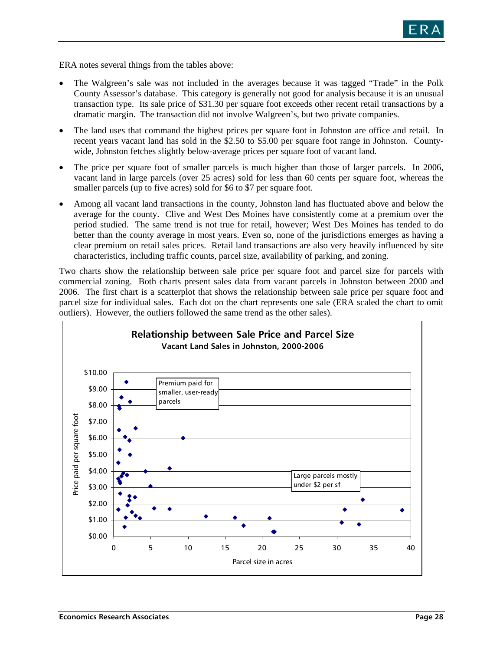

ERA notes several things from the tables above:

- The Walgreen's sale was not included in the averages because it was tagged "Trade" in the Polk County Assessor's database. This category is generally not good for analysis because it is an unusual transaction type. Its sale price of \$31.30 per square foot exceeds other recent retail transactions by a dramatic margin. The transaction did not involve Walgreen's, but two private companies.
- The land uses that command the highest prices per square foot in Johnston are office and retail. In recent years vacant land has sold in the \$2.50 to \$5.00 per square foot range in Johnston. Countywide, Johnston fetches slightly below-average prices per square foot of vacant land.
- The price per square foot of smaller parcels is much higher than those of larger parcels. In 2006, vacant land in large parcels (over 25 acres) sold for less than 60 cents per square foot, whereas the smaller parcels (up to five acres) sold for \$6 to \$7 per square foot.
- Among all vacant land transactions in the county, Johnston land has fluctuated above and below the average for the county. Clive and West Des Moines have consistently come at a premium over the period studied. The same trend is not true for retail, however; West Des Moines has tended to do better than the county average in most years. Even so, none of the jurisdictions emerges as having a clear premium on retail sales prices. Retail land transactions are also very heavily influenced by site characteristics, including traffic counts, parcel size, availability of parking, and zoning.

Two charts show the relationship between sale price per square foot and parcel size for parcels with commercial zoning. Both charts present sales data from vacant parcels in Johnston between 2000 and 2006. The first chart is a scatterplot that shows the relationship between sale price per square foot and parcel size for individual sales. Each dot on the chart represents one sale (ERA scaled the chart to omit outliers). However, the outliers followed the same trend as the other sales).

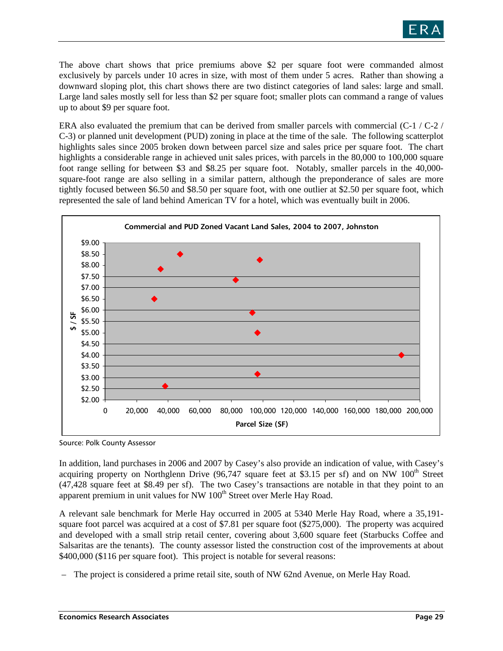

The above chart shows that price premiums above \$2 per square foot were commanded almost exclusively by parcels under 10 acres in size, with most of them under 5 acres. Rather than showing a downward sloping plot, this chart shows there are two distinct categories of land sales: large and small. Large land sales mostly sell for less than \$2 per square foot; smaller plots can command a range of values up to about \$9 per square foot.

ERA also evaluated the premium that can be derived from smaller parcels with commercial (C-1 / C-2 / C-3) or planned unit development (PUD) zoning in place at the time of the sale. The following scatterplot highlights sales since 2005 broken down between parcel size and sales price per square foot. The chart highlights a considerable range in achieved unit sales prices, with parcels in the 80,000 to 100,000 square foot range selling for between \$3 and \$8.25 per square foot. Notably, smaller parcels in the 40,000 square-foot range are also selling in a similar pattern, although the preponderance of sales are more tightly focused between \$6.50 and \$8.50 per square foot, with one outlier at \$2.50 per square foot, which represented the sale of land behind American TV for a hotel, which was eventually built in 2006.



Source: Polk County Assessor

In addition, land purchases in 2006 and 2007 by Casey's also provide an indication of value, with Casey's acquiring property on Northglenn Drive (96,747 square feet at \$3.15 per sf) and on NW 100<sup>th</sup> Street (47,428 square feet at \$8.49 per sf). The two Casey's transactions are notable in that they point to an apparent premium in unit values for NW 100<sup>th</sup> Street over Merle Hay Road.

A relevant sale benchmark for Merle Hay occurred in 2005 at 5340 Merle Hay Road, where a 35,191 square foot parcel was acquired at a cost of \$7.81 per square foot (\$275,000). The property was acquired and developed with a small strip retail center, covering about 3,600 square feet (Starbucks Coffee and Salsaritas are the tenants). The county assessor listed the construction cost of the improvements at about \$400,000 (\$116 per square foot). This project is notable for several reasons:

– The project is considered a prime retail site, south of NW 62nd Avenue, on Merle Hay Road.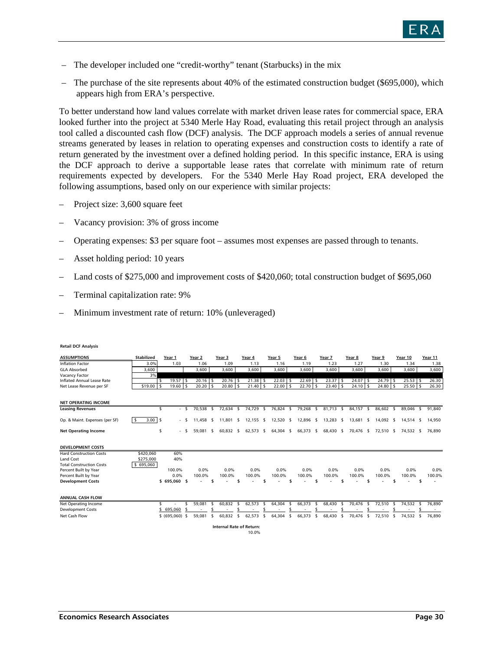

- The developer included one "credit-worthy" tenant (Starbucks) in the mix
- The purchase of the site represents about 40% of the estimated construction budget (\$695,000), which appears high from ERA's perspective.

To better understand how land values correlate with market driven lease rates for commercial space, ERA looked further into the project at 5340 Merle Hay Road, evaluating this retail project through an analysis tool called a discounted cash flow (DCF) analysis. The DCF approach models a series of annual revenue streams generated by leases in relation to operating expenses and construction costs to identify a rate of return generated by the investment over a defined holding period. In this specific instance, ERA is using the DCF approach to derive a supportable lease rates that correlate with minimum rate of return requirements expected by developers. For the 5340 Merle Hay Road project, ERA developed the following assumptions, based only on our experience with similar projects:

- Project size: 3,600 square feet
- Vacancy provision: 3% of gross income
- Operating expenses: \$3 per square foot assumes most expenses are passed through to tenants.
- Asset holding period: 10 years
- Land costs of \$275,000 and improvement costs of \$420,060; total construction budget of \$695,060
- Terminal capitalization rate: 9%
- Minimum investment rate of return: 10% (unleveraged)

| <b>ASSUMPTIONS</b>              | <b>Stabilized</b>               | Year 1                   | Year 2               | Year 3            | Year 4         | Year 5                     | Year 6              | Year 7        | Year 8      | Year 9         | Year 10        | Year 11 |
|---------------------------------|---------------------------------|--------------------------|----------------------|-------------------|----------------|----------------------------|---------------------|---------------|-------------|----------------|----------------|---------|
| <b>Inflation Factor</b>         | 3.0%                            | 1.03                     | 1.06                 | 1.09              | 1.13           | 1.16                       | 1.19                | 1.23          | 1.27        | 1.30           | 1.34           | 1.38    |
| <b>GLA Absorbed</b>             | 3,600                           |                          | 3,600                | 3,600             | 3,600          | 3,600                      | 3,600               | 3,600         | 3,600       | 3,600          | 3,600          | 3,600   |
| Vacancy Factor                  | 3%                              |                          |                      |                   |                |                            |                     |               |             |                |                |         |
| Inflated Annual Lease Rate      |                                 | $19.57$ \$<br>s          | $20.16$ \$           | 20.76             | 21.38<br>- \$  | 22.03                      | 22.69               | 23.37<br>I\$  | 24.07<br>ΙS | 24.79<br>-S    | $25.53$ \$     | 26.30   |
| Net Lease Revenue per SF        | \$19.00                         | 19.60<br>- \$            | $20.20$ \$<br>-\$    | 20.80             | 21.40<br>۱s    | 22.00<br>l S               | 22.70<br>-\$<br>l S | 23.40<br>۱\$  | 24.10<br>ΙS | 24.80<br>-S    | 25.50          | 26.30   |
|                                 |                                 |                          |                      |                   |                |                            |                     |               |             |                |                |         |
| <b>NET OPERATING INCOME</b>     |                                 |                          |                      |                   |                |                            |                     |               |             |                |                |         |
| <b>Leasing Revenues</b>         |                                 | Ŝ.                       | 70,538<br>$\sqrt{5}$ | 72,634 \$<br>\$   | 74,729         | 76,824 \$<br>$\frac{1}{2}$ | 79,268<br>\$        | 81,713 \$     | 84,157 \$   | 86,602 \$      | 89.046<br>\$   | 91,840  |
| Op. & Maint. Expenses (per SF)  | $3.00$ \ \$<br>- \$             | $\overline{\phantom{a}}$ | 11.458<br>- \$       | 11.801 \$<br>- \$ | 12,155 \$      | 12,520 \$                  | 12,896 \$           | 13,283 \$     | 13.681 \$   | 14.092 \$      | 14.514 \$      | 14,950  |
|                                 |                                 |                          |                      |                   |                |                            |                     |               |             |                |                |         |
| <b>Net Operating Income</b>     |                                 | \$<br>٠.                 | 59.081 \$<br>- \$    | 60,832 \$         | 62,573 \$      | 64,304 \$                  | 66,373 \$           | 68,430 \$     | 70,476 \$   | 72,510 \$      | 74,532 \$      | 76,890  |
|                                 |                                 |                          |                      |                   |                |                            |                     |               |             |                |                |         |
| <b>DEVELOPMENT COSTS</b>        |                                 |                          |                      |                   |                |                            |                     |               |             |                |                |         |
| <b>Hard Construction Costs</b>  | \$420,060                       | 60%                      |                      |                   |                |                            |                     |               |             |                |                |         |
| Land Cost                       | \$275,000                       | 40%                      |                      |                   |                |                            |                     |               |             |                |                |         |
| <b>Total Construction Costs</b> | 695,060                         |                          |                      |                   |                |                            |                     |               |             |                |                |         |
| Percent Built by Year           |                                 | 100.0%                   | 0.0%                 | 0.0%              | 0.0%           | 0.0%                       | 0.0%                | 0.0%          | 0.0%        | 0.0%           | 0.0%           | 0.0%    |
| Percent Built by Year           |                                 | 0.0%                     | 100.0%               | 100.0%            | 100.0%         | 100.0%                     | 100.0%              | 100.0%        | 100.0%      | 100.0%         | 100.0%         | 100.0%  |
| <b>Development Costs</b>        |                                 | \$695,060\$              |                      | \$                |                |                            |                     | Ś             |             | \$             | Ś              |         |
|                                 |                                 |                          |                      |                   |                |                            |                     |               |             |                |                |         |
| <b>ANNUAL CASH FLOW</b>         |                                 |                          |                      |                   |                |                            |                     |               |             |                |                |         |
| Net Operating Income            |                                 | \$                       | 59,081               | 60.832<br>-\$     | 62,573<br>- \$ | 64,304<br>- \$             | 66,373<br>\$<br>-S  | 68,430<br>-\$ | 70.476<br>s | 72,510<br>- \$ | 74,532<br>- \$ | 76,890  |
| <b>Development Costs</b>        |                                 | 695,060                  | -\$                  |                   |                |                            |                     |               |             |                |                |         |
| Net Cash Flow                   |                                 | \$ (695,060) \$          | 59,081               | 60,832<br>\$      | 62,573<br>-S   | 64,304<br>-\$              | 66,373<br>\$<br>\$  | 68,430<br>\$  | 70,476<br>s | 72,510<br>s.   | 74,532<br>- \$ | 76,890  |
|                                 | <b>Internal Rate of Return:</b> |                          |                      |                   |                |                            |                     |               |             |                |                |         |
|                                 | 10.0%                           |                          |                      |                   |                |                            |                     |               |             |                |                |         |

#### **Retail DCF Analysis**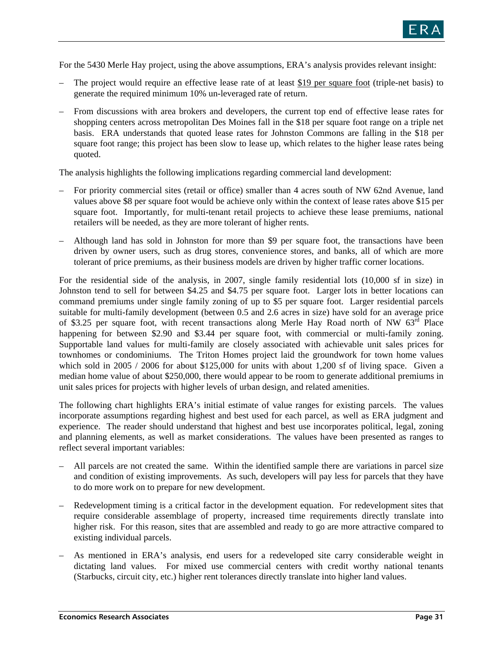

For the 5430 Merle Hay project, using the above assumptions, ERA's analysis provides relevant insight:

- The project would require an effective lease rate of at least \$19 per square foot (triple-net basis) to generate the required minimum 10% un-leveraged rate of return.
- From discussions with area brokers and developers, the current top end of effective lease rates for shopping centers across metropolitan Des Moines fall in the \$18 per square foot range on a triple net basis. ERA understands that quoted lease rates for Johnston Commons are falling in the \$18 per square foot range; this project has been slow to lease up, which relates to the higher lease rates being quoted.

The analysis highlights the following implications regarding commercial land development:

- For priority commercial sites (retail or office) smaller than 4 acres south of NW 62nd Avenue, land values above \$8 per square foot would be achieve only within the context of lease rates above \$15 per square foot. Importantly, for multi-tenant retail projects to achieve these lease premiums, national retailers will be needed, as they are more tolerant of higher rents.
- Although land has sold in Johnston for more than \$9 per square foot, the transactions have been driven by owner users, such as drug stores, convenience stores, and banks, all of which are more tolerant of price premiums, as their business models are driven by higher traffic corner locations.

For the residential side of the analysis, in 2007, single family residential lots (10,000 sf in size) in Johnston tend to sell for between \$4.25 and \$4.75 per square foot. Larger lots in better locations can command premiums under single family zoning of up to \$5 per square foot. Larger residential parcels suitable for multi-family development (between 0.5 and 2.6 acres in size) have sold for an average price of \$3.25 per square foot, with recent transactions along Merle Hay Road north of NW 63<sup>rd</sup> Place happening for between \$2.90 and \$3.44 per square foot, with commercial or multi-family zoning. Supportable land values for multi-family are closely associated with achievable unit sales prices for townhomes or condominiums. The Triton Homes project laid the groundwork for town home values which sold in 2005 / 2006 for about \$125,000 for units with about 1,200 sf of living space. Given a median home value of about \$250,000, there would appear to be room to generate additional premiums in unit sales prices for projects with higher levels of urban design, and related amenities.

The following chart highlights ERA's initial estimate of value ranges for existing parcels. The values incorporate assumptions regarding highest and best used for each parcel, as well as ERA judgment and experience. The reader should understand that highest and best use incorporates political, legal, zoning and planning elements, as well as market considerations. The values have been presented as ranges to reflect several important variables:

- All parcels are not created the same. Within the identified sample there are variations in parcel size and condition of existing improvements. As such, developers will pay less for parcels that they have to do more work on to prepare for new development.
- Redevelopment timing is a critical factor in the development equation. For redevelopment sites that require considerable assemblage of property, increased time requirements directly translate into higher risk. For this reason, sites that are assembled and ready to go are more attractive compared to existing individual parcels.
- As mentioned in ERA's analysis, end users for a redeveloped site carry considerable weight in dictating land values. For mixed use commercial centers with credit worthy national tenants (Starbucks, circuit city, etc.) higher rent tolerances directly translate into higher land values.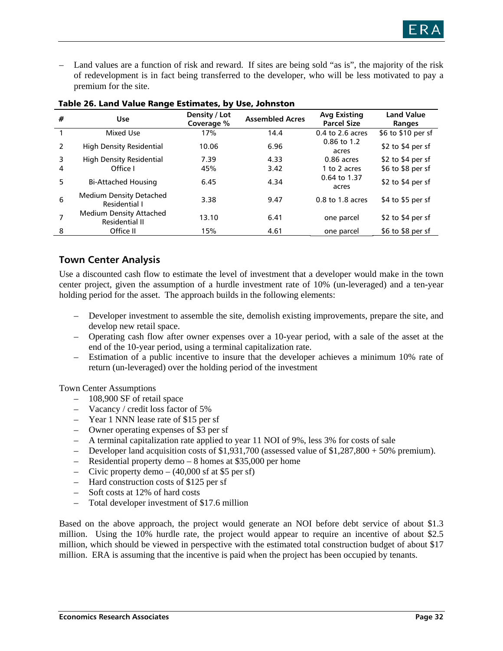

– Land values are a function of risk and reward. If sites are being sold "as is", the majority of the risk of redevelopment is in fact being transferred to the developer, who will be less motivated to pay a premium for the site.

| #             | <b>Use</b>                                       | Density / Lot<br>Coverage % | <b>Assembled Acres</b> | <b>Avg Existing</b><br><b>Parcel Size</b> | <b>Land Value</b><br>Ranges |
|---------------|--------------------------------------------------|-----------------------------|------------------------|-------------------------------------------|-----------------------------|
|               | Mixed Use                                        | 17%                         | 14.4                   | $0.4$ to 2.6 acres                        | \$6 to \$10 per sf          |
| $\mathcal{P}$ | <b>High Density Residential</b>                  | 10.06                       | 6.96                   | 0.86 to 1.2<br>acres                      | \$2 to \$4 per sf           |
| 3             | <b>High Density Residential</b>                  | 7.39                        | 4.33                   | 0.86 acres                                | \$2 to \$4 per sf           |
| 4             | Office I                                         | 45%                         | 3.42                   | 1 to 2 acres                              | \$6 to \$8 per sf           |
| 5             | <b>Bi-Attached Housing</b>                       | 6.45                        | 4.34                   | 0.64 to 1.37<br>acres                     | \$2 to \$4 per sf           |
| 6             | <b>Medium Density Detached</b><br>Residential I  | 3.38                        | 9.47                   | $0.8$ to 1.8 acres                        | \$4 to \$5 per sf           |
|               | <b>Medium Density Attached</b><br>Residential II | 13.10                       | 6.41                   | one parcel                                | \$2 to \$4 per sf           |
| 8             | Office II                                        | 15%                         | 4.61                   | one parcel                                | \$6 to \$8 per sf           |

#### Table 26. Land Value Range Estimates, by Use, Johnston

### **Town Center Analysis**

Use a discounted cash flow to estimate the level of investment that a developer would make in the town center project, given the assumption of a hurdle investment rate of 10% (un-leveraged) and a ten-year holding period for the asset. The approach builds in the following elements:

- Developer investment to assemble the site, demolish existing improvements, prepare the site, and develop new retail space.
- Operating cash flow after owner expenses over a 10-year period, with a sale of the asset at the end of the 10-year period, using a terminal capitalization rate.
- Estimation of a public incentive to insure that the developer achieves a minimum 10% rate of return (un-leveraged) over the holding period of the investment

Town Center Assumptions

- 108,900 SF of retail space
- Vacancy / credit loss factor of 5%
- Year 1 NNN lease rate of \$15 per sf
- Owner operating expenses of \$3 per sf
- A terminal capitalization rate applied to year 11 NOI of 9%, less 3% for costs of sale
- Developer land acquisition costs of \$1,931,700 (assessed value of \$1,287,800 + 50% premium).
- Residential property demo 8 homes at \$35,000 per home
- Civic property demo  $(40,000 \text{ sf at } $5 \text{ per sf})$
- Hard construction costs of \$125 per sf
- Soft costs at 12% of hard costs
- Total developer investment of \$17.6 million

Based on the above approach, the project would generate an NOI before debt service of about \$1.3 million. Using the 10% hurdle rate, the project would appear to require an incentive of about \$2.5 million, which should be viewed in perspective with the estimated total construction budget of about \$17 million. ERA is assuming that the incentive is paid when the project has been occupied by tenants.